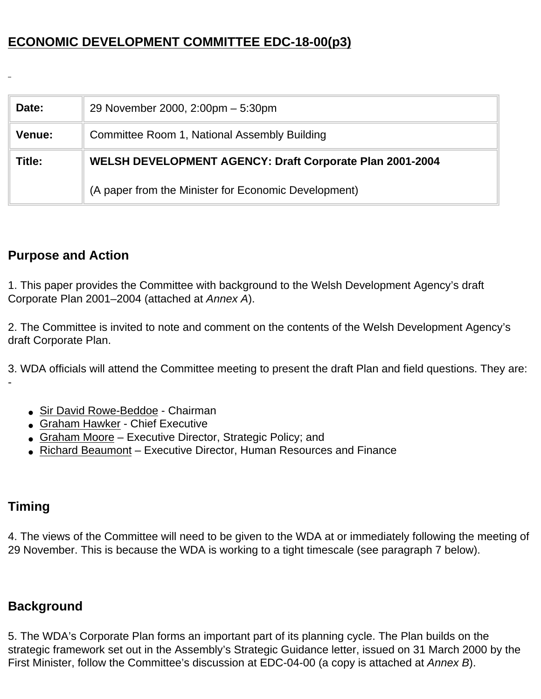# **ECONOMIC DEVELOPMENT COMMITTEE EDC-18-00(p3)**

| Date:  | 29 November 2000, 2:00pm - 5:30pm                        |
|--------|----------------------------------------------------------|
| Venue: | Committee Room 1, National Assembly Building             |
| Title: | WELSH DEVELOPMENT AGENCY: Draft Corporate Plan 2001-2004 |
|        | (A paper from the Minister for Economic Development)     |

# **Purpose and Action**

1. This paper provides the Committee with background to the Welsh Development Agency's draft Corporate Plan 2001–2004 (attached at *Annex A*).

2. The Committee is invited to note and comment on the contents of the Welsh Development Agency's draft Corporate Plan.

3. WDA officials will attend the Committee meeting to present the draft Plan and field questions. They are: -

- Sir David Rowe-Beddoe Chairman
- Graham Hawker Chief Executive
- Graham Moore Executive Director, Strategic Policy; and
- Richard Beaumont Executive Director, Human Resources and Finance

# **Timing**

4. The views of the Committee will need to be given to the WDA at or immediately following the meeting of 29 November. This is because the WDA is working to a tight timescale (see paragraph 7 below).

# **Background**

5. The WDA's Corporate Plan forms an important part of its planning cycle. The Plan builds on the strategic framework set out in the Assembly's Strategic Guidance letter, issued on 31 March 2000 by the First Minister, follow the Committee's discussion at EDC-04-00 (a copy is attached at *Annex B*).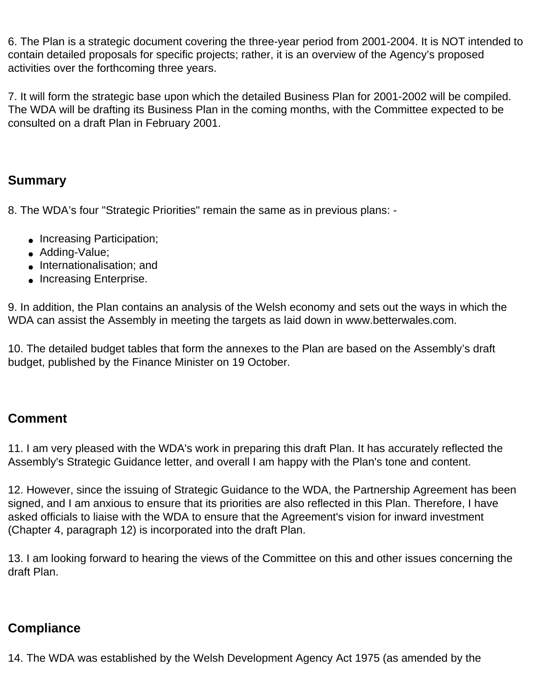6. The Plan is a strategic document covering the three-year period from 2001-2004. It is NOT intended to contain detailed proposals for specific projects; rather, it is an overview of the Agency's proposed activities over the forthcoming three years.

7. It will form the strategic base upon which the detailed Business Plan for 2001-2002 will be compiled. The WDA will be drafting its Business Plan in the coming months, with the Committee expected to be consulted on a draft Plan in February 2001.

### **Summary**

8. The WDA's four "Strategic Priorities" remain the same as in previous plans: -

- Increasing Participation;
- Adding-Value;
- Internationalisation: and
- Increasing Enterprise.

9. In addition, the Plan contains an analysis of the Welsh economy and sets out the ways in which the WDA can assist the Assembly in meeting the targets as laid down in www.betterwales.com.

10. The detailed budget tables that form the annexes to the Plan are based on the Assembly's draft budget, published by the Finance Minister on 19 October.

# **Comment**

11. I am very pleased with the WDA's work in preparing this draft Plan. It has accurately reflected the Assembly's Strategic Guidance letter, and overall I am happy with the Plan's tone and content.

12. However, since the issuing of Strategic Guidance to the WDA, the Partnership Agreement has been signed, and I am anxious to ensure that its priorities are also reflected in this Plan. Therefore, I have asked officials to liaise with the WDA to ensure that the Agreement's vision for inward investment (Chapter 4, paragraph 12) is incorporated into the draft Plan.

13. I am looking forward to hearing the views of the Committee on this and other issues concerning the draft Plan.

# **Compliance**

14. The WDA was established by the Welsh Development Agency Act 1975 (as amended by the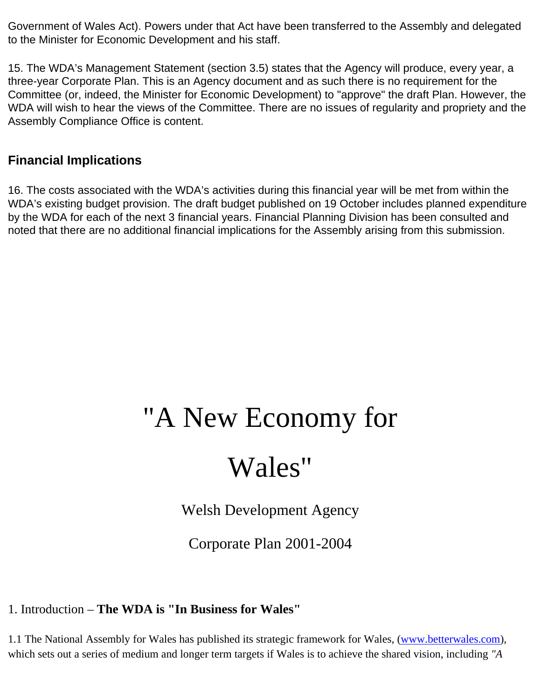Government of Wales Act). Powers under that Act have been transferred to the Assembly and delegated to the Minister for Economic Development and his staff.

15. The WDA's Management Statement (section 3.5) states that the Agency will produce, every year, a three-year Corporate Plan. This is an Agency document and as such there is no requirement for the Committee (or, indeed, the Minister for Economic Development) to "approve" the draft Plan. However, the WDA will wish to hear the views of the Committee. There are no issues of regularity and propriety and the Assembly Compliance Office is content.

# **Financial Implications**

16. The costs associated with the WDA's activities during this financial year will be met from within the WDA's existing budget provision. The draft budget published on 19 October includes planned expenditure by the WDA for each of the next 3 financial years. Financial Planning Division has been consulted and noted that there are no additional financial implications for the Assembly arising from this submission.

# "A New Economy for

# Wales"

Welsh Development Agency

Corporate Plan 2001-2004

# 1. Introduction – **The WDA is "In Business for Wales"**

1.1 The National Assembly for Wales has published its strategic framework for Wales, ([www.betterwales.com](http://www.betterwales.com/)), which sets out a series of medium and longer term targets if Wales is to achieve the shared vision, including *"A*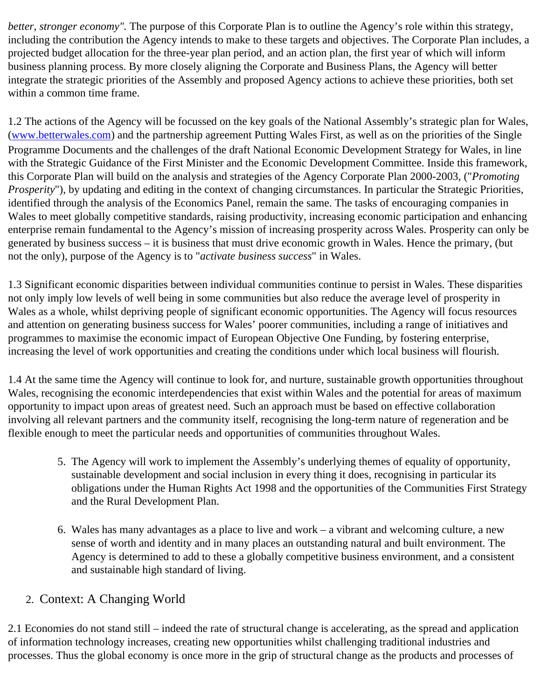*better, stronger economy".* The purpose of this Corporate Plan is to outline the Agency's role within this strategy, including the contribution the Agency intends to make to these targets and objectives. The Corporate Plan includes, a projected budget allocation for the three-year plan period, and an action plan, the first year of which will inform business planning process. By more closely aligning the Corporate and Business Plans, the Agency will better integrate the strategic priorities of the Assembly and proposed Agency actions to achieve these priorities, both set within a common time frame.

1.2 The actions of the Agency will be focussed on the key goals of the National Assembly's strategic plan for Wales, [\(www.betterwales.com\)](http://www.betterwales.com/) and the partnership agreement Putting Wales First, as well as on the priorities of the Single Programme Documents and the challenges of the draft National Economic Development Strategy for Wales, in line with the Strategic Guidance of the First Minister and the Economic Development Committee. Inside this framework, this Corporate Plan will build on the analysis and strategies of the Agency Corporate Plan 2000-2003, ("*Promoting Prosperity*"), by updating and editing in the context of changing circumstances. In particular the Strategic Priorities, identified through the analysis of the Economics Panel, remain the same. The tasks of encouraging companies in Wales to meet globally competitive standards, raising productivity, increasing economic participation and enhancing enterprise remain fundamental to the Agency's mission of increasing prosperity across Wales. Prosperity can only be generated by business success – it is business that must drive economic growth in Wales. Hence the primary, (but not the only), purpose of the Agency is to "*activate business success*" in Wales.

1.3 Significant economic disparities between individual communities continue to persist in Wales. These disparities not only imply low levels of well being in some communities but also reduce the average level of prosperity in Wales as a whole, whilst depriving people of significant economic opportunities. The Agency will focus resources and attention on generating business success for Wales' poorer communities, including a range of initiatives and programmes to maximise the economic impact of European Objective One Funding, by fostering enterprise, increasing the level of work opportunities and creating the conditions under which local business will flourish.

1.4 At the same time the Agency will continue to look for, and nurture, sustainable growth opportunities throughout Wales, recognising the economic interdependencies that exist within Wales and the potential for areas of maximum opportunity to impact upon areas of greatest need. Such an approach must be based on effective collaboration involving all relevant partners and the community itself, recognising the long-term nature of regeneration and be flexible enough to meet the particular needs and opportunities of communities throughout Wales.

- 5. The Agency will work to implement the Assembly's underlying themes of equality of opportunity, sustainable development and social inclusion in every thing it does, recognising in particular its obligations under the Human Rights Act 1998 and the opportunities of the Communities First Strategy and the Rural Development Plan.
- 6. Wales has many advantages as a place to live and work a vibrant and welcoming culture, a new sense of worth and identity and in many places an outstanding natural and built environment. The Agency is determined to add to these a globally competitive business environment, and a consistent and sustainable high standard of living.

# 2. Context: A Changing World

2.1 Economies do not stand still – indeed the rate of structural change is accelerating, as the spread and application of information technology increases, creating new opportunities whilst challenging traditional industries and processes. Thus the global economy is once more in the grip of structural change as the products and processes of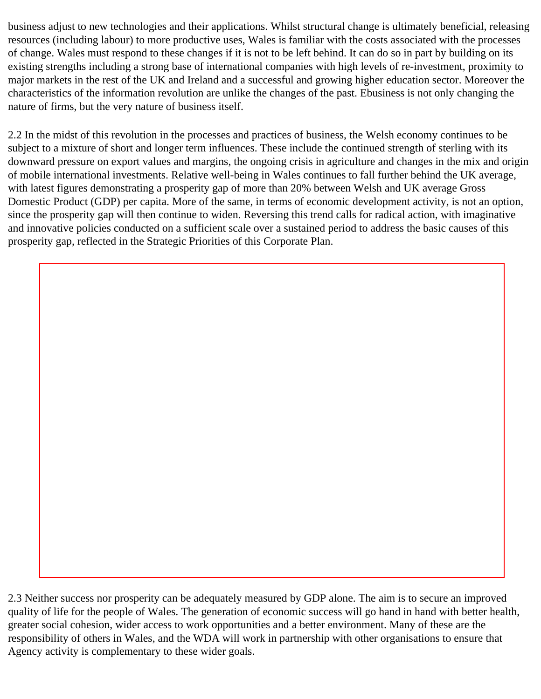business adjust to new technologies and their applications. Whilst structural change is ultimately beneficial, releasing resources (including labour) to more productive uses, Wales is familiar with the costs associated with the processes of change. Wales must respond to these changes if it is not to be left behind. It can do so in part by building on its existing strengths including a strong base of international companies with high levels of re-investment, proximity to major markets in the rest of the UK and Ireland and a successful and growing higher education sector. Moreover the characteristics of the information revolution are unlike the changes of the past. Ebusiness is not only changing the nature of firms, but the very nature of business itself.

2.2 In the midst of this revolution in the processes and practices of business, the Welsh economy continues to be subject to a mixture of short and longer term influences. These include the continued strength of sterling with its downward pressure on export values and margins, the ongoing crisis in agriculture and changes in the mix and origin of mobile international investments. Relative well-being in Wales continues to fall further behind the UK average, with latest figures demonstrating a prosperity gap of more than 20% between Welsh and UK average Gross Domestic Product (GDP) per capita. More of the same, in terms of economic development activity, is not an option, since the prosperity gap will then continue to widen. Reversing this trend calls for radical action, with imaginative and innovative policies conducted on a sufficient scale over a sustained period to address the basic causes of this prosperity gap, reflected in the Strategic Priorities of this Corporate Plan.

2.3 Neither success nor prosperity can be adequately measured by GDP alone. The aim is to secure an improved quality of life for the people of Wales. The generation of economic success will go hand in hand with better health, greater social cohesion, wider access to work opportunities and a better environment. Many of these are the responsibility of others in Wales, and the WDA will work in partnership with other organisations to ensure that Agency activity is complementary to these wider goals.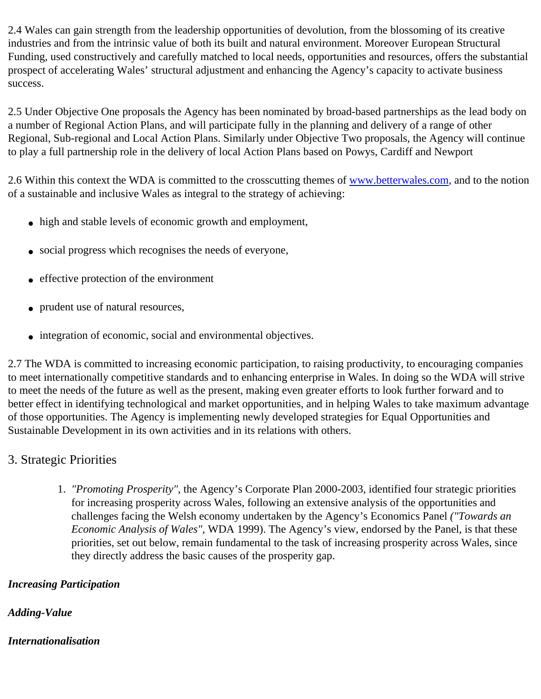2.4 Wales can gain strength from the leadership opportunities of devolution, from the blossoming of its creative industries and from the intrinsic value of both its built and natural environment. Moreover European Structural Funding, used constructively and carefully matched to local needs, opportunities and resources, offers the substantial prospect of accelerating Wales' structural adjustment and enhancing the Agency's capacity to activate business success.

2.5 Under Objective One proposals the Agency has been nominated by broad-based partnerships as the lead body on a number of Regional Action Plans, and will participate fully in the planning and delivery of a range of other Regional, Sub-regional and Local Action Plans. Similarly under Objective Two proposals, the Agency will continue to play a full partnership role in the delivery of local Action Plans based on Powys, Cardiff and Newport

2.6 Within this context the WDA is committed to the crosscutting themes of www.betterwales.com, and to the notion of a sustainable and inclusive Wales as integral to the strategy of achieving:

- high and stable levels of economic growth and employment,
- social progress which recognises the needs of everyone,
- effective protection of the environment
- prudent use of natural resources,
- integration of economic, social and environmental objectives.

2.7 The WDA is committed to increasing economic participation, to raising productivity, to encouraging companies to meet internationally competitive standards and to enhancing enterprise in Wales. In doing so the WDA will strive to meet the needs of the future as well as the present, making even greater efforts to look further forward and to better effect in identifying technological and market opportunities, and in helping Wales to take maximum advantage of those opportunities. The Agency is implementing newly developed strategies for Equal Opportunities and Sustainable Development in its own activities and in its relations with others.

# 3. Strategic Priorities

1. *"Promoting Prosperity",* the Agency's Corporate Plan 2000-2003, identified four strategic priorities for increasing prosperity across Wales, following an extensive analysis of the opportunities and challenges facing the Welsh economy undertaken by the Agency's Economics Panel *("Towards an Economic Analysis of Wales",* WDA 1999). The Agency's view, endorsed by the Panel, is that these priorities, set out below, remain fundamental to the task of increasing prosperity across Wales, since they directly address the basic causes of the prosperity gap.

#### *Increasing Participation*

#### *Adding-Value*

#### *Internationalisation*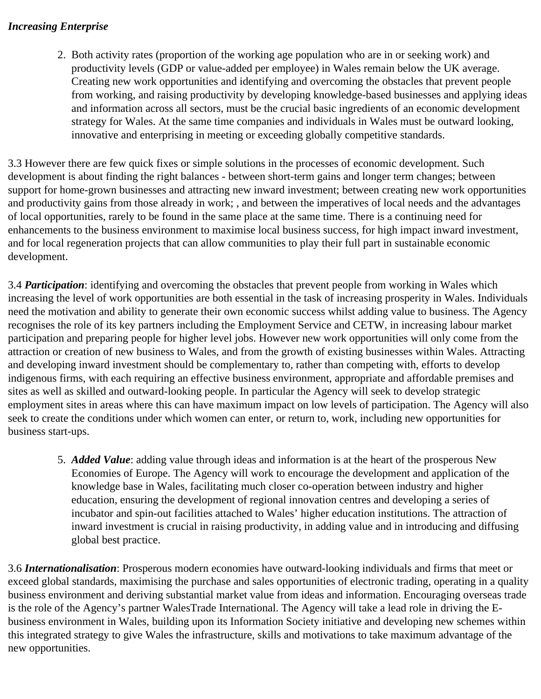#### *Increasing Enterprise*

2. Both activity rates (proportion of the working age population who are in or seeking work) and productivity levels (GDP or value-added per employee) in Wales remain below the UK average. Creating new work opportunities and identifying and overcoming the obstacles that prevent people from working, and raising productivity by developing knowledge-based businesses and applying ideas and information across all sectors, must be the crucial basic ingredients of an economic development strategy for Wales. At the same time companies and individuals in Wales must be outward looking, innovative and enterprising in meeting or exceeding globally competitive standards.

3.3 However there are few quick fixes or simple solutions in the processes of economic development. Such development is about finding the right balances - between short-term gains and longer term changes; between support for home-grown businesses and attracting new inward investment; between creating new work opportunities and productivity gains from those already in work; , and between the imperatives of local needs and the advantages of local opportunities, rarely to be found in the same place at the same time. There is a continuing need for enhancements to the business environment to maximise local business success, for high impact inward investment, and for local regeneration projects that can allow communities to play their full part in sustainable economic development.

3.4 *Participation*: identifying and overcoming the obstacles that prevent people from working in Wales which increasing the level of work opportunities are both essential in the task of increasing prosperity in Wales. Individuals need the motivation and ability to generate their own economic success whilst adding value to business. The Agency recognises the role of its key partners including the Employment Service and CETW, in increasing labour market participation and preparing people for higher level jobs. However new work opportunities will only come from the attraction or creation of new business to Wales, and from the growth of existing businesses within Wales. Attracting and developing inward investment should be complementary to, rather than competing with, efforts to develop indigenous firms, with each requiring an effective business environment, appropriate and affordable premises and sites as well as skilled and outward-looking people. In particular the Agency will seek to develop strategic employment sites in areas where this can have maximum impact on low levels of participation. The Agency will also seek to create the conditions under which women can enter, or return to, work, including new opportunities for business start-ups.

5. *Added Value*: adding value through ideas and information is at the heart of the prosperous New Economies of Europe. The Agency will work to encourage the development and application of the knowledge base in Wales, facilitating much closer co-operation between industry and higher education, ensuring the development of regional innovation centres and developing a series of incubator and spin-out facilities attached to Wales' higher education institutions. The attraction of inward investment is crucial in raising productivity, in adding value and in introducing and diffusing global best practice.

3.6 *Internationalisation*: Prosperous modern economies have outward-looking individuals and firms that meet or exceed global standards, maximising the purchase and sales opportunities of electronic trading, operating in a quality business environment and deriving substantial market value from ideas and information. Encouraging overseas trade is the role of the Agency's partner WalesTrade International. The Agency will take a lead role in driving the Ebusiness environment in Wales, building upon its Information Society initiative and developing new schemes within this integrated strategy to give Wales the infrastructure, skills and motivations to take maximum advantage of the new opportunities.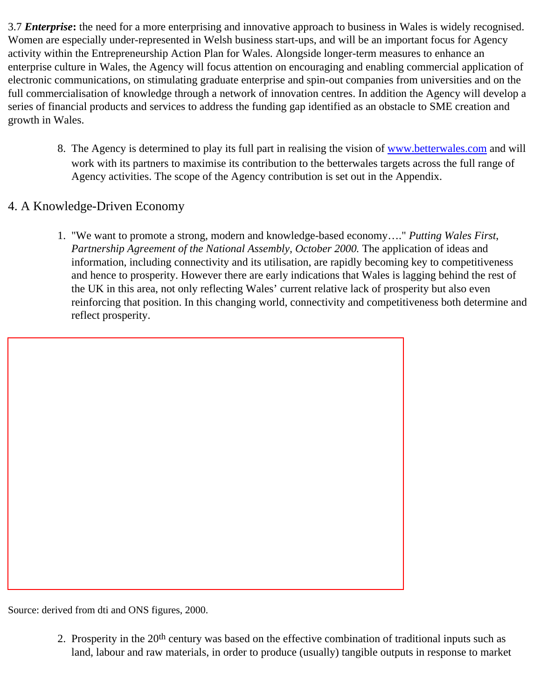3.7 *Enterprise***:** the need for a more enterprising and innovative approach to business in Wales is widely recognised. Women are especially under-represented in Welsh business start-ups, and will be an important focus for Agency activity within the Entrepreneurship Action Plan for Wales. Alongside longer-term measures to enhance an enterprise culture in Wales, the Agency will focus attention on encouraging and enabling commercial application of electronic communications, on stimulating graduate enterprise and spin-out companies from universities and on the full commercialisation of knowledge through a network of innovation centres. In addition the Agency will develop a series of financial products and services to address the funding gap identified as an obstacle to SME creation and growth in Wales.

8. The Agency is determined to play its full part in realising the vision of [www.betterwales.com](http://www.betterwales.com/) and will work with its partners to maximise its contribution to the betterwales targets across the full range of Agency activities. The scope of the Agency contribution is set out in the Appendix.

#### 4. A Knowledge-Driven Economy

1. "We want to promote a strong, modern and knowledge-based economy…." *Putting Wales First*, *Partnership Agreement of the National Assembly, October 2000.* The application of ideas and information, including connectivity and its utilisation, are rapidly becoming key to competitiveness and hence to prosperity. However there are early indications that Wales is lagging behind the rest of the UK in this area, not only reflecting Wales' current relative lack of prosperity but also even reinforcing that position. In this changing world, connectivity and competitiveness both determine and reflect prosperity.

Source: derived from dti and ONS figures, 2000.

2. Prosperity in the 20th century was based on the effective combination of traditional inputs such as land, labour and raw materials, in order to produce (usually) tangible outputs in response to market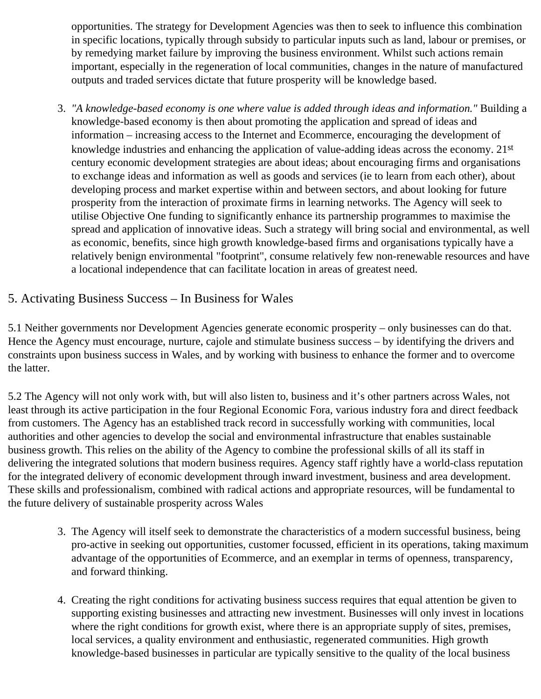opportunities. The strategy for Development Agencies was then to seek to influence this combination in specific locations, typically through subsidy to particular inputs such as land, labour or premises, or by remedying market failure by improving the business environment. Whilst such actions remain important, especially in the regeneration of local communities, changes in the nature of manufactured outputs and traded services dictate that future prosperity will be knowledge based.

3. *"A knowledge-based economy is one where value is added through ideas and information."* Building a knowledge-based economy is then about promoting the application and spread of ideas and information – increasing access to the Internet and Ecommerce, encouraging the development of knowledge industries and enhancing the application of value-adding ideas across the economy. 21st century economic development strategies are about ideas; about encouraging firms and organisations to exchange ideas and information as well as goods and services (ie to learn from each other), about developing process and market expertise within and between sectors, and about looking for future prosperity from the interaction of proximate firms in learning networks. The Agency will seek to utilise Objective One funding to significantly enhance its partnership programmes to maximise the spread and application of innovative ideas. Such a strategy will bring social and environmental, as well as economic, benefits, since high growth knowledge-based firms and organisations typically have a relatively benign environmental "footprint", consume relatively few non-renewable resources and have a locational independence that can facilitate location in areas of greatest need.

# 5. Activating Business Success – In Business for Wales

5.1 Neither governments nor Development Agencies generate economic prosperity – only businesses can do that. Hence the Agency must encourage, nurture, cajole and stimulate business success – by identifying the drivers and constraints upon business success in Wales, and by working with business to enhance the former and to overcome the latter.

5.2 The Agency will not only work with, but will also listen to, business and it's other partners across Wales, not least through its active participation in the four Regional Economic Fora, various industry fora and direct feedback from customers. The Agency has an established track record in successfully working with communities, local authorities and other agencies to develop the social and environmental infrastructure that enables sustainable business growth. This relies on the ability of the Agency to combine the professional skills of all its staff in delivering the integrated solutions that modern business requires. Agency staff rightly have a world-class reputation for the integrated delivery of economic development through inward investment, business and area development. These skills and professionalism, combined with radical actions and appropriate resources, will be fundamental to the future delivery of sustainable prosperity across Wales

- 3. The Agency will itself seek to demonstrate the characteristics of a modern successful business, being pro-active in seeking out opportunities, customer focussed, efficient in its operations, taking maximum advantage of the opportunities of Ecommerce, and an exemplar in terms of openness, transparency, and forward thinking.
- 4. Creating the right conditions for activating business success requires that equal attention be given to supporting existing businesses and attracting new investment. Businesses will only invest in locations where the right conditions for growth exist, where there is an appropriate supply of sites, premises, local services, a quality environment and enthusiastic, regenerated communities. High growth knowledge-based businesses in particular are typically sensitive to the quality of the local business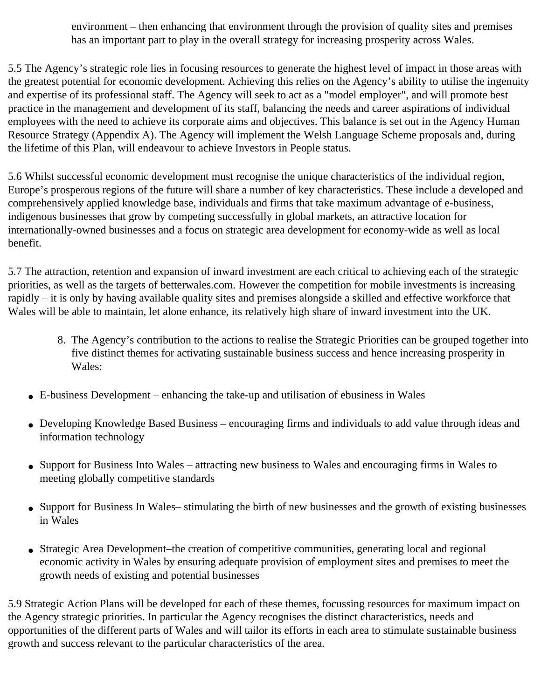environment – then enhancing that environment through the provision of quality sites and premises has an important part to play in the overall strategy for increasing prosperity across Wales.

5.5 The Agency's strategic role lies in focusing resources to generate the highest level of impact in those areas with the greatest potential for economic development. Achieving this relies on the Agency's ability to utilise the ingenuity and expertise of its professional staff. The Agency will seek to act as a "model employer", and will promote best practice in the management and development of its staff, balancing the needs and career aspirations of individual employees with the need to achieve its corporate aims and objectives. This balance is set out in the Agency Human Resource Strategy (Appendix A). The Agency will implement the Welsh Language Scheme proposals and, during the lifetime of this Plan, will endeavour to achieve Investors in People status.

5.6 Whilst successful economic development must recognise the unique characteristics of the individual region, Europe's prosperous regions of the future will share a number of key characteristics. These include a developed and comprehensively applied knowledge base, individuals and firms that take maximum advantage of e-business, indigenous businesses that grow by competing successfully in global markets, an attractive location for internationally-owned businesses and a focus on strategic area development for economy-wide as well as local benefit.

5.7 The attraction, retention and expansion of inward investment are each critical to achieving each of the strategic priorities, as well as the targets of betterwales.com. However the competition for mobile investments is increasing rapidly – it is only by having available quality sites and premises alongside a skilled and effective workforce that Wales will be able to maintain, let alone enhance, its relatively high share of inward investment into the UK.

- 8. The Agency's contribution to the actions to realise the Strategic Priorities can be grouped together into five distinct themes for activating sustainable business success and hence increasing prosperity in Wales:
- $\bullet$  E-business Development enhancing the take-up and utilisation of ebusiness in Wales
- Developing Knowledge Based Business encouraging firms and individuals to add value through ideas and information technology
- Support for Business Into Wales attracting new business to Wales and encouraging firms in Wales to meeting globally competitive standards
- Support for Business In Wales– stimulating the birth of new businesses and the growth of existing businesses in Wales
- Strategic Area Development–the creation of competitive communities, generating local and regional economic activity in Wales by ensuring adequate provision of employment sites and premises to meet the growth needs of existing and potential businesses

5.9 Strategic Action Plans will be developed for each of these themes, focussing resources for maximum impact on the Agency strategic priorities. In particular the Agency recognises the distinct characteristics, needs and opportunities of the different parts of Wales and will tailor its efforts in each area to stimulate sustainable business growth and success relevant to the particular characteristics of the area.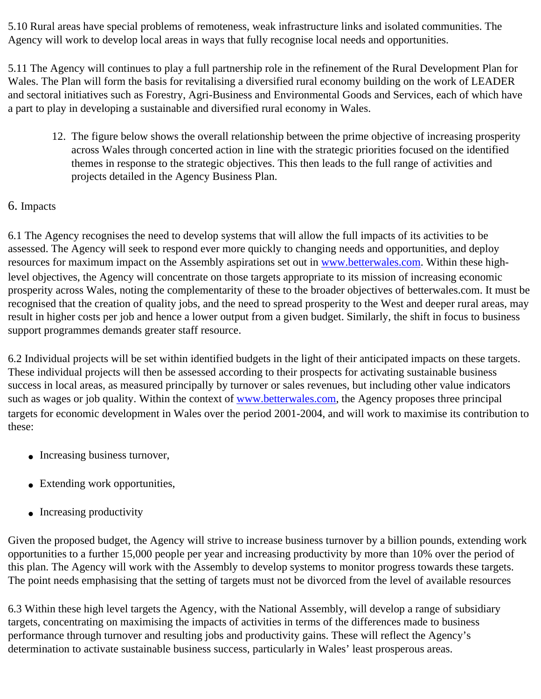5.10 Rural areas have special problems of remoteness, weak infrastructure links and isolated communities. The Agency will work to develop local areas in ways that fully recognise local needs and opportunities.

5.11 The Agency will continues to play a full partnership role in the refinement of the Rural Development Plan for Wales. The Plan will form the basis for revitalising a diversified rural economy building on the work of LEADER and sectoral initiatives such as Forestry, Agri-Business and Environmental Goods and Services, each of which have a part to play in developing a sustainable and diversified rural economy in Wales.

12. The figure below shows the overall relationship between the prime objective of increasing prosperity across Wales through concerted action in line with the strategic priorities focused on the identified themes in response to the strategic objectives. This then leads to the full range of activities and projects detailed in the Agency Business Plan.

#### 6. Impacts

6.1 The Agency recognises the need to develop systems that will allow the full impacts of its activities to be assessed. The Agency will seek to respond ever more quickly to changing needs and opportunities, and deploy resources for maximum impact on the Assembly aspirations set out in [www.betterwales.com](http://www.betterwales.com/). Within these highlevel objectives, the Agency will concentrate on those targets appropriate to its mission of increasing economic prosperity across Wales, noting the complementarity of these to the broader objectives of betterwales.com. It must be recognised that the creation of quality jobs, and the need to spread prosperity to the West and deeper rural areas, may result in higher costs per job and hence a lower output from a given budget. Similarly, the shift in focus to business support programmes demands greater staff resource.

6.2 Individual projects will be set within identified budgets in the light of their anticipated impacts on these targets. These individual projects will then be assessed according to their prospects for activating sustainable business success in local areas, as measured principally by turnover or sales revenues, but including other value indicators such as wages or job quality. Within the context of [www.betterwales.com](http://www.betterwales.com/), the Agency proposes three principal targets for economic development in Wales over the period 2001-2004, and will work to maximise its contribution to these:

- Increasing business turnover,
- Extending work opportunities,
- Increasing productivity

Given the proposed budget, the Agency will strive to increase business turnover by a billion pounds, extending work opportunities to a further 15,000 people per year and increasing productivity by more than 10% over the period of this plan. The Agency will work with the Assembly to develop systems to monitor progress towards these targets. The point needs emphasising that the setting of targets must not be divorced from the level of available resources

6.3 Within these high level targets the Agency, with the National Assembly, will develop a range of subsidiary targets, concentrating on maximising the impacts of activities in terms of the differences made to business performance through turnover and resulting jobs and productivity gains. These will reflect the Agency's determination to activate sustainable business success, particularly in Wales' least prosperous areas.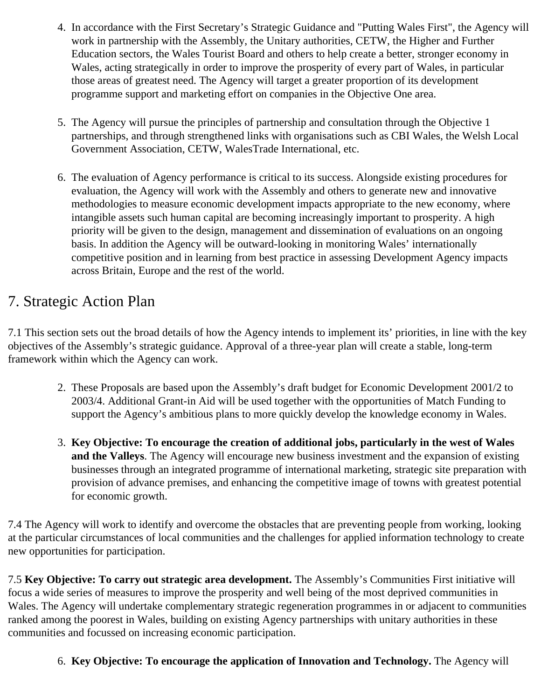- 4. In accordance with the First Secretary's Strategic Guidance and "Putting Wales First", the Agency will work in partnership with the Assembly, the Unitary authorities, CETW, the Higher and Further Education sectors, the Wales Tourist Board and others to help create a better, stronger economy in Wales, acting strategically in order to improve the prosperity of every part of Wales, in particular those areas of greatest need. The Agency will target a greater proportion of its development programme support and marketing effort on companies in the Objective One area.
- 5. The Agency will pursue the principles of partnership and consultation through the Objective 1 partnerships, and through strengthened links with organisations such as CBI Wales, the Welsh Local Government Association, CETW, WalesTrade International, etc.
- 6. The evaluation of Agency performance is critical to its success. Alongside existing procedures for evaluation, the Agency will work with the Assembly and others to generate new and innovative methodologies to measure economic development impacts appropriate to the new economy, where intangible assets such human capital are becoming increasingly important to prosperity. A high priority will be given to the design, management and dissemination of evaluations on an ongoing basis. In addition the Agency will be outward-looking in monitoring Wales' internationally competitive position and in learning from best practice in assessing Development Agency impacts across Britain, Europe and the rest of the world.

# 7. Strategic Action Plan

7.1 This section sets out the broad details of how the Agency intends to implement its' priorities, in line with the key objectives of the Assembly's strategic guidance. Approval of a three-year plan will create a stable, long-term framework within which the Agency can work.

- 2. These Proposals are based upon the Assembly's draft budget for Economic Development 2001/2 to 2003/4. Additional Grant-in Aid will be used together with the opportunities of Match Funding to support the Agency's ambitious plans to more quickly develop the knowledge economy in Wales.
- 3. **Key Objective: To encourage the creation of additional jobs, particularly in the west of Wales and the Valleys**. The Agency will encourage new business investment and the expansion of existing businesses through an integrated programme of international marketing, strategic site preparation with provision of advance premises, and enhancing the competitive image of towns with greatest potential for economic growth.

7.4 The Agency will work to identify and overcome the obstacles that are preventing people from working, looking at the particular circumstances of local communities and the challenges for applied information technology to create new opportunities for participation.

7.5 **Key Objective: To carry out strategic area development.** The Assembly's Communities First initiative will focus a wide series of measures to improve the prosperity and well being of the most deprived communities in Wales. The Agency will undertake complementary strategic regeneration programmes in or adjacent to communities ranked among the poorest in Wales, building on existing Agency partnerships with unitary authorities in these communities and focussed on increasing economic participation.

# 6. **Key Objective: To encourage the application of Innovation and Technology.** The Agency will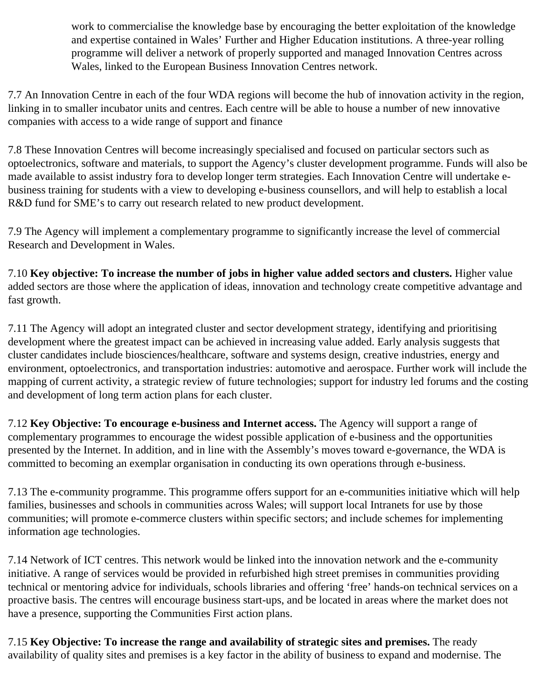work to commercialise the knowledge base by encouraging the better exploitation of the knowledge and expertise contained in Wales' Further and Higher Education institutions. A three-year rolling programme will deliver a network of properly supported and managed Innovation Centres across Wales, linked to the European Business Innovation Centres network.

7.7 An Innovation Centre in each of the four WDA regions will become the hub of innovation activity in the region, linking in to smaller incubator units and centres. Each centre will be able to house a number of new innovative companies with access to a wide range of support and finance

7.8 These Innovation Centres will become increasingly specialised and focused on particular sectors such as optoelectronics, software and materials, to support the Agency's cluster development programme. Funds will also be made available to assist industry fora to develop longer term strategies. Each Innovation Centre will undertake ebusiness training for students with a view to developing e-business counsellors, and will help to establish a local R&D fund for SME's to carry out research related to new product development.

7.9 The Agency will implement a complementary programme to significantly increase the level of commercial Research and Development in Wales.

7.10 **Key objective: To increase the number of jobs in higher value added sectors and clusters.** Higher value added sectors are those where the application of ideas, innovation and technology create competitive advantage and fast growth.

7.11 The Agency will adopt an integrated cluster and sector development strategy, identifying and prioritising development where the greatest impact can be achieved in increasing value added. Early analysis suggests that cluster candidates include biosciences/healthcare, software and systems design, creative industries, energy and environment, optoelectronics, and transportation industries: automotive and aerospace. Further work will include the mapping of current activity, a strategic review of future technologies; support for industry led forums and the costing and development of long term action plans for each cluster.

7.12 **Key Objective: To encourage e-business and Internet access.** The Agency will support a range of complementary programmes to encourage the widest possible application of e-business and the opportunities presented by the Internet. In addition, and in line with the Assembly's moves toward e-governance, the WDA is committed to becoming an exemplar organisation in conducting its own operations through e-business.

7.13 The e-community programme. This programme offers support for an e-communities initiative which will help families, businesses and schools in communities across Wales; will support local Intranets for use by those communities; will promote e-commerce clusters within specific sectors; and include schemes for implementing information age technologies.

7.14 Network of ICT centres. This network would be linked into the innovation network and the e-community initiative. A range of services would be provided in refurbished high street premises in communities providing technical or mentoring advice for individuals, schools libraries and offering 'free' hands-on technical services on a proactive basis. The centres will encourage business start-ups, and be located in areas where the market does not have a presence, supporting the Communities First action plans.

7.15 **Key Objective: To increase the range and availability of strategic sites and premises.** The ready availability of quality sites and premises is a key factor in the ability of business to expand and modernise. The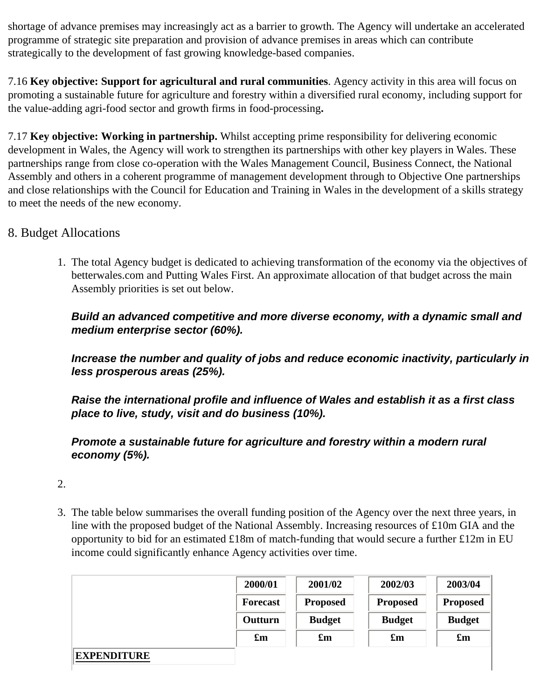shortage of advance premises may increasingly act as a barrier to growth. The Agency will undertake an accelerated programme of strategic site preparation and provision of advance premises in areas which can contribute strategically to the development of fast growing knowledge-based companies.

7.16 **Key objective: Support for agricultural and rural communities**. Agency activity in this area will focus on promoting a sustainable future for agriculture and forestry within a diversified rural economy, including support for the value-adding agri-food sector and growth firms in food-processing**.**

7.17 **Key objective: Working in partnership.** Whilst accepting prime responsibility for delivering economic development in Wales, the Agency will work to strengthen its partnerships with other key players in Wales. These partnerships range from close co-operation with the Wales Management Council, Business Connect, the National Assembly and others in a coherent programme of management development through to Objective One partnerships and close relationships with the Council for Education and Training in Wales in the development of a skills strategy to meet the needs of the new economy.

#### 8. Budget Allocations

1. The total Agency budget is dedicated to achieving transformation of the economy via the objectives of betterwales.com and Putting Wales First. An approximate allocation of that budget across the main Assembly priorities is set out below.

#### *Build an advanced competitive and more diverse economy, with a dynamic small and medium enterprise sector (60%).*

*Increase the number and quality of jobs and reduce economic inactivity, particularly in less prosperous areas (25%).*

*Raise the international profile and influence of Wales and establish it as a first class place to live, study, visit and do business (10%).*

#### *Promote a sustainable future for agriculture and forestry within a modern rural economy (5%).*

- 2.
	- 3. The table below summarises the overall funding position of the Agency over the next three years, in line with the proposed budget of the National Assembly. Increasing resources of £10m GIA and the opportunity to bid for an estimated £18m of match-funding that would secure a further £12m in EU income could significantly enhance Agency activities over time.

|                    | 2000/01                   | 2001/02                   | 2002/03                   | 2003/04                   |
|--------------------|---------------------------|---------------------------|---------------------------|---------------------------|
|                    | Forecast                  | <b>Proposed</b>           | <b>Proposed</b>           | <b>Proposed</b>           |
|                    | Outturn                   | <b>Budget</b>             | <b>Budget</b>             | <b>Budget</b>             |
|                    | $\mathbf{f}_{\mathbf{m}}$ | $\mathbf{f}_{\mathbf{m}}$ | $\mathbf{f}_{\mathbf{m}}$ | $\mathbf{f}_{\mathbf{m}}$ |
| <b>EXPENDITURE</b> |                           |                           |                           |                           |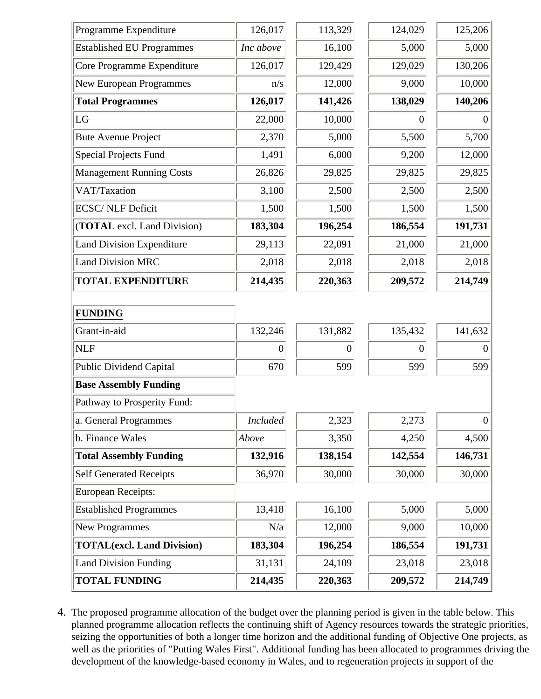| Programme Expenditure             | 126,017         | 113,329        | 124,029        | 125,206        |
|-----------------------------------|-----------------|----------------|----------------|----------------|
| <b>Established EU Programmes</b>  | Inc above       | 16,100         | 5,000          | 5,000          |
| Core Programme Expenditure        | 126,017         | 129,429        | 129,029        | 130,206        |
| New European Programmes           | n/s             | 12,000         | 9,000          | 10,000         |
| <b>Total Programmes</b>           | 126,017         | 141,426        | 138,029        | 140,206        |
| LG                                | 22,000          | 10,000         | $\theta$       | $\Omega$       |
| <b>Bute Avenue Project</b>        | 2,370           | 5,000          | 5,500          | 5,700          |
| <b>Special Projects Fund</b>      | 1,491           | 6,000          | 9,200          | 12,000         |
| <b>Management Running Costs</b>   | 26,826          | 29,825         | 29,825         | 29,825         |
| VAT/Taxation                      | 3,100           | 2,500          | 2,500          | 2,500          |
| <b>ECSC/ NLF Deficit</b>          | 1,500           | 1,500          | 1,500          | 1,500          |
| (TOTAL excl. Land Division)       | 183,304         | 196,254        | 186,554        | 191,731        |
| <b>Land Division Expenditure</b>  | 29,113          | 22,091         | 21,000         | 21,000         |
| <b>Land Division MRC</b>          | 2,018           | 2,018          | 2,018          | 2,018          |
| <b>TOTAL EXPENDITURE</b>          | 214,435         | 220,363        | 209,572        | 214,749        |
|                                   |                 |                |                |                |
| <b>FUNDING</b>                    |                 |                |                |                |
| Grant-in-aid                      | 132,246         | 131,882        | 135,432        | 141,632        |
| <b>NLF</b>                        | $\overline{0}$  | $\overline{0}$ | $\overline{0}$ | $\theta$       |
| <b>Public Dividend Capital</b>    | 670             | 599            | 599            | 599            |
| <b>Base Assembly Funding</b>      |                 |                |                |                |
| Pathway to Prosperity Fund:       |                 |                |                |                |
| a. General Programmes             | <b>Included</b> | 2,323          | 2,273          | $\overline{0}$ |
| b. Finance Wales                  | Above           | 3,350          | 4,250          | 4,500          |
| <b>Total Assembly Funding</b>     | 132,916         | 138,154        | 142,554        | 146,731        |
| <b>Self Generated Receipts</b>    | 36,970          | 30,000         | 30,000         | 30,000         |
| <b>European Receipts:</b>         |                 |                |                |                |
| <b>Established Programmes</b>     | 13,418          | 16,100         | 5,000          | 5,000          |
| <b>New Programmes</b>             | N/a             | 12,000         | 9,000          | 10,000         |
| <b>TOTAL(excl. Land Division)</b> | 183,304         | 196,254        | 186,554        | 191,731        |
| <b>Land Division Funding</b>      | 31,131          | 24,109         | 23,018         | 23,018         |
| <b>TOTAL FUNDING</b>              | 214,435         | 220,363        | 209,572        | 214,749        |

4. The proposed programme allocation of the budget over the planning period is given in the table below. This planned programme allocation reflects the continuing shift of Agency resources towards the strategic priorities, seizing the opportunities of both a longer time horizon and the additional funding of Objective One projects, as well as the priorities of "Putting Wales First". Additional funding has been allocated to programmes driving the development of the knowledge-based economy in Wales, and to regeneration projects in support of the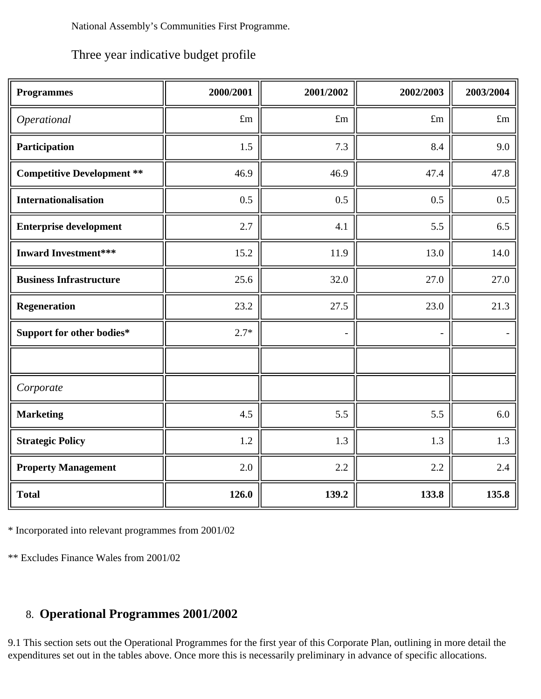National Assembly's Communities First Programme.

Three year indicative budget profile

| <b>Programmes</b>                 | 2000/2001   | 2001/2002                | 2002/2003   | 2003/2004   |
|-----------------------------------|-------------|--------------------------|-------------|-------------|
| Operational                       | $\pounds m$ | $\pounds$ m              | $\pounds$ m | $\pounds$ m |
| Participation                     | 1.5         | 7.3                      | 8.4         | 9.0         |
| <b>Competitive Development **</b> | 46.9        | 46.9                     | 47.4        | 47.8        |
| <b>Internationalisation</b>       | 0.5         | 0.5                      | 0.5         | 0.5         |
| <b>Enterprise development</b>     | 2.7         | 4.1                      | 5.5         | 6.5         |
| <b>Inward Investment***</b>       | 15.2        | 11.9                     | 13.0        | 14.0        |
| <b>Business Infrastructure</b>    | 25.6        | 32.0                     | 27.0        | 27.0        |
| <b>Regeneration</b>               | 23.2        | 27.5                     | 23.0        | 21.3        |
| Support for other bodies*         | $2.7*$      | $\overline{\phantom{a}}$ |             |             |
|                                   |             |                          |             |             |
| Corporate                         |             |                          |             |             |
| <b>Marketing</b>                  | 4.5         | 5.5                      | 5.5         | 6.0         |
| <b>Strategic Policy</b>           | 1.2         | 1.3                      | 1.3         | 1.3         |
| <b>Property Management</b>        | 2.0         | 2.2                      | 2.2         | 2.4         |
| <b>Total</b>                      | 126.0       | 139.2                    | 133.8       | 135.8       |

\* Incorporated into relevant programmes from 2001/02

\*\* Excludes Finance Wales from 2001/02

# 8. **Operational Programmes 2001/2002**

9.1 This section sets out the Operational Programmes for the first year of this Corporate Plan, outlining in more detail the expenditures set out in the tables above. Once more this is necessarily preliminary in advance of specific allocations.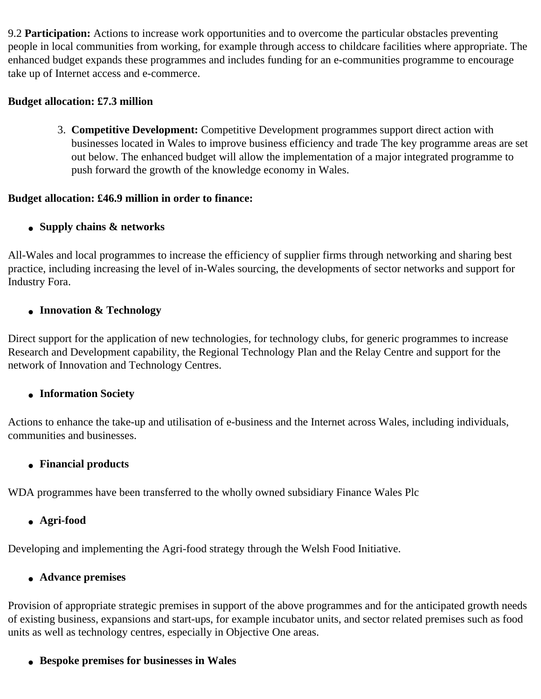9.2 **Participation:** Actions to increase work opportunities and to overcome the particular obstacles preventing people in local communities from working, for example through access to childcare facilities where appropriate. The enhanced budget expands these programmes and includes funding for an e-communities programme to encourage take up of Internet access and e-commerce.

#### **Budget allocation: £7.3 million**

3. **Competitive Development:** Competitive Development programmes support direct action with businesses located in Wales to improve business efficiency and trade The key programme areas are set out below. The enhanced budget will allow the implementation of a major integrated programme to push forward the growth of the knowledge economy in Wales.

#### **Budget allocation: £46.9 million in order to finance:**

#### ● **Supply chains & networks**

All-Wales and local programmes to increase the efficiency of supplier firms through networking and sharing best practice, including increasing the level of in-Wales sourcing, the developments of sector networks and support for Industry Fora.

#### ● **Innovation & Technology**

Direct support for the application of new technologies, for technology clubs, for generic programmes to increase Research and Development capability, the Regional Technology Plan and the Relay Centre and support for the network of Innovation and Technology Centres.

#### ● **Information Society**

Actions to enhance the take-up and utilisation of e-business and the Internet across Wales, including individuals, communities and businesses.

#### ● **Financial products**

WDA programmes have been transferred to the wholly owned subsidiary Finance Wales Plc

#### ● **Agri-food**

Developing and implementing the Agri-food strategy through the Welsh Food Initiative.

#### ● **Advance premises**

Provision of appropriate strategic premises in support of the above programmes and for the anticipated growth needs of existing business, expansions and start-ups, for example incubator units, and sector related premises such as food units as well as technology centres, especially in Objective One areas.

#### ● **Bespoke premises for businesses in Wales**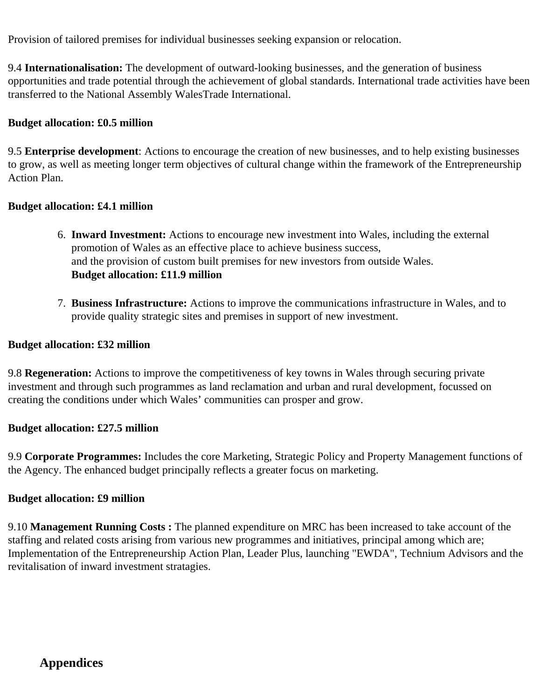Provision of tailored premises for individual businesses seeking expansion or relocation.

9.4 **Internationalisation:** The development of outward-looking businesses, and the generation of business opportunities and trade potential through the achievement of global standards. International trade activities have been transferred to the National Assembly WalesTrade International.

#### **Budget allocation: £0.5 million**

9.5 **Enterprise development**: Actions to encourage the creation of new businesses, and to help existing businesses to grow, as well as meeting longer term objectives of cultural change within the framework of the Entrepreneurship Action Plan.

#### **Budget allocation: £4.1 million**

- 6. **Inward Investment:** Actions to encourage new investment into Wales, including the external promotion of Wales as an effective place to achieve business success, and the provision of custom built premises for new investors from outside Wales. **Budget allocation: £11.9 million**
- 7. **Business Infrastructure:** Actions to improve the communications infrastructure in Wales, and to provide quality strategic sites and premises in support of new investment.

#### **Budget allocation: £32 million**

9.8 **Regeneration:** Actions to improve the competitiveness of key towns in Wales through securing private investment and through such programmes as land reclamation and urban and rural development, focussed on creating the conditions under which Wales' communities can prosper and grow.

#### **Budget allocation: £27.5 million**

9.9 **Corporate Programmes:** Includes the core Marketing, Strategic Policy and Property Management functions of the Agency. The enhanced budget principally reflects a greater focus on marketing.

#### **Budget allocation: £9 million**

9.10 **Management Running Costs :** The planned expenditure on MRC has been increased to take account of the staffing and related costs arising from various new programmes and initiatives, principal among which are; Implementation of the Entrepreneurship Action Plan, Leader Plus, launching "EWDA", Technium Advisors and the revitalisation of inward investment stratagies.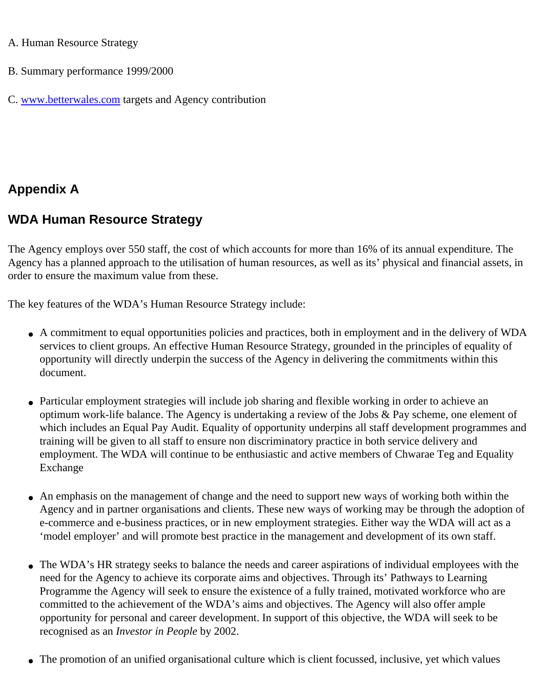#### A. Human Resource Strategy

- B. Summary performance 1999/2000
- C. [www.betterwales.com](http://www.betterwales.com/) targets and Agency contribution

# **Appendix A**

# **WDA Human Resource Strategy**

The Agency employs over 550 staff, the cost of which accounts for more than 16% of its annual expenditure. The Agency has a planned approach to the utilisation of human resources, as well as its' physical and financial assets, in order to ensure the maximum value from these.

The key features of the WDA's Human Resource Strategy include:

- A commitment to equal opportunities policies and practices, both in employment and in the delivery of WDA services to client groups. An effective Human Resource Strategy, grounded in the principles of equality of opportunity will directly underpin the success of the Agency in delivering the commitments within this document.
- Particular employment strategies will include job sharing and flexible working in order to achieve an optimum work-life balance. The Agency is undertaking a review of the Jobs & Pay scheme, one element of which includes an Equal Pay Audit. Equality of opportunity underpins all staff development programmes and training will be given to all staff to ensure non discriminatory practice in both service delivery and employment. The WDA will continue to be enthusiastic and active members of Chwarae Teg and Equality Exchange
- An emphasis on the management of change and the need to support new ways of working both within the Agency and in partner organisations and clients. These new ways of working may be through the adoption of e-commerce and e-business practices, or in new employment strategies. Either way the WDA will act as a 'model employer' and will promote best practice in the management and development of its own staff.
- The WDA's HR strategy seeks to balance the needs and career aspirations of individual employees with the need for the Agency to achieve its corporate aims and objectives. Through its' Pathways to Learning Programme the Agency will seek to ensure the existence of a fully trained, motivated workforce who are committed to the achievement of the WDA's aims and objectives. The Agency will also offer ample opportunity for personal and career development. In support of this objective, the WDA will seek to be recognised as an *Investor in People* by 2002.
- The promotion of an unified organisational culture which is client focussed, inclusive, yet which values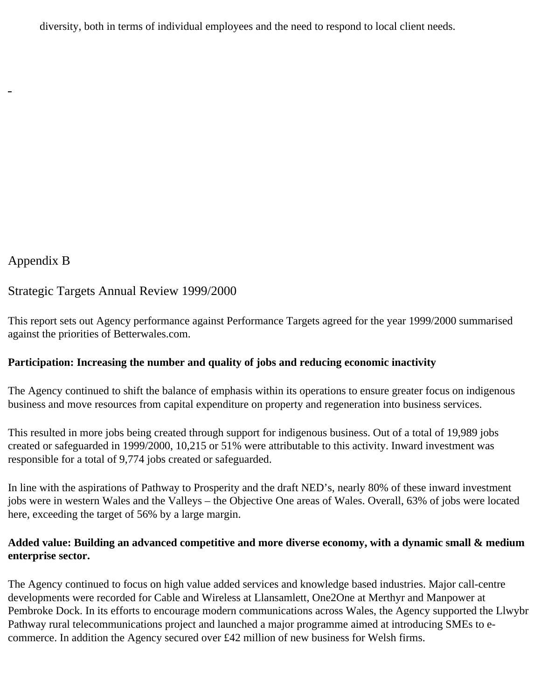diversity, both in terms of individual employees and the need to respond to local client needs.

#### Appendix B

#### Strategic Targets Annual Review 1999/2000

This report sets out Agency performance against Performance Targets agreed for the year 1999/2000 summarised against the priorities of Betterwales.com.

#### **Participation: Increasing the number and quality of jobs and reducing economic inactivity**

The Agency continued to shift the balance of emphasis within its operations to ensure greater focus on indigenous business and move resources from capital expenditure on property and regeneration into business services.

This resulted in more jobs being created through support for indigenous business. Out of a total of 19,989 jobs created or safeguarded in 1999/2000, 10,215 or 51% were attributable to this activity. Inward investment was responsible for a total of 9,774 jobs created or safeguarded.

In line with the aspirations of Pathway to Prosperity and the draft NED's, nearly 80% of these inward investment jobs were in western Wales and the Valleys – the Objective One areas of Wales. Overall, 63% of jobs were located here, exceeding the target of 56% by a large margin.

#### **Added value: Building an advanced competitive and more diverse economy, with a dynamic small & medium enterprise sector.**

The Agency continued to focus on high value added services and knowledge based industries. Major call-centre developments were recorded for Cable and Wireless at Llansamlett, One2One at Merthyr and Manpower at Pembroke Dock. In its efforts to encourage modern communications across Wales, the Agency supported the Llwybr Pathway rural telecommunications project and launched a major programme aimed at introducing SMEs to ecommerce. In addition the Agency secured over £42 million of new business for Welsh firms.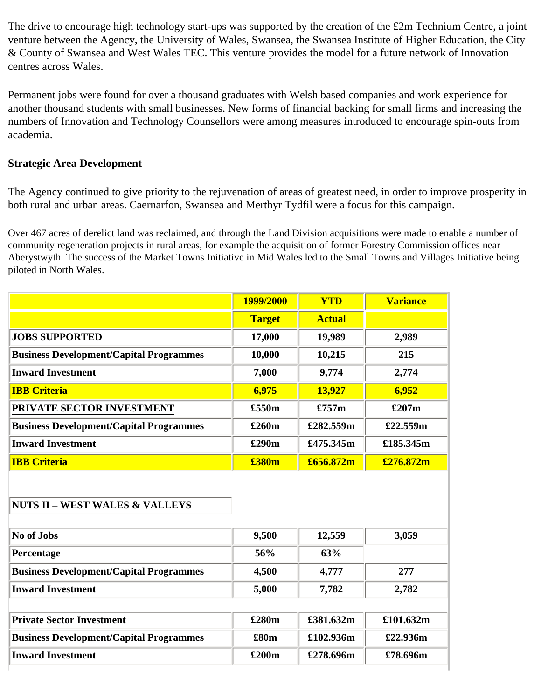The drive to encourage high technology start-ups was supported by the creation of the £2m Technium Centre, a joint venture between the Agency, the University of Wales, Swansea, the Swansea Institute of Higher Education, the City & County of Swansea and West Wales TEC. This venture provides the model for a future network of Innovation centres across Wales.

Permanent jobs were found for over a thousand graduates with Welsh based companies and work experience for another thousand students with small businesses. New forms of financial backing for small firms and increasing the numbers of Innovation and Technology Counsellors were among measures introduced to encourage spin-outs from academia.

#### **Strategic Area Development**

The Agency continued to give priority to the rejuvenation of areas of greatest need, in order to improve prosperity in both rural and urban areas. Caernarfon, Swansea and Merthyr Tydfil were a focus for this campaign.

Over 467 acres of derelict land was reclaimed, and through the Land Division acquisitions were made to enable a number of community regeneration projects in rural areas, for example the acquisition of former Forestry Commission offices near Aberystwyth. The success of the Market Towns Initiative in Mid Wales led to the Small Towns and Villages Initiative being piloted in North Wales.

|                                                | 1999/2000     | <b>YTD</b>    | <b>Variance</b> |
|------------------------------------------------|---------------|---------------|-----------------|
|                                                | <b>Target</b> | <b>Actual</b> |                 |
| <b>JOBS SUPPORTED</b>                          | 17,000        | 19,989        | 2,989           |
| <b>Business Development/Capital Programmes</b> | 10,000        | 10,215        | 215             |
| <b>Inward Investment</b>                       | 7,000         | 9,774         | 2,774           |
| <b>IBB Criteria</b>                            | 6,975         | 13,927        | 6,952           |
| PRIVATE SECTOR INVESTMENT                      | £550m         | £757m         | £207m           |
| <b>Business Development/Capital Programmes</b> | £260m         | £282.559m     | £22.559m        |
| <b>Inward Investment</b>                       | £290m         | £475.345m     | £185.345m       |
| <b>IBB Criteria</b>                            | £380m         | £656.872m     | £276.872m       |

#### **NUTS II – WEST WALES & VALLEYS**

| No of Jobs                                     | 9,500 | 12,559    | 3,059     |
|------------------------------------------------|-------|-----------|-----------|
| Percentage                                     | 56%   | 63%       |           |
| <b>Business Development/Capital Programmes</b> | 4,500 | 4,777     | 277       |
| <b>Inward Investment</b>                       | 5,000 | 7,782     | 2,782     |
| <b>Private Sector Investment</b>               | £280m | £381.632m | £101.632m |
| <b>Business Development/Capital Programmes</b> | £80m  | £102.936m | £22.936m  |
| <b>Inward Investment</b>                       | £200m | £278.696m | £78.696m  |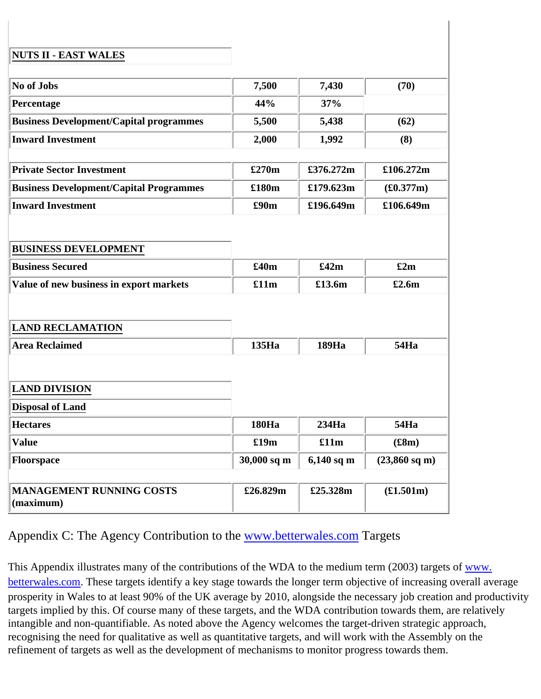#### **NUTS II - EAST WALES**

| No of Jobs                                     | 7,500        | 7,430        | (70)                    |
|------------------------------------------------|--------------|--------------|-------------------------|
| Percentage                                     | 44%          | 37%          |                         |
| <b>Business Development/Capital programmes</b> | 5,500        | 5,438        | (62)                    |
| <b>Inward Investment</b>                       | 2,000        | 1,992        | (8)                     |
|                                                |              |              |                         |
| <b>Private Sector Investment</b>               | £270m        | £376.272m    | £106.272m               |
| <b>Business Development/Capital Programmes</b> | £180m        | £179.623m    | (\$0.377m)              |
| <b>Inward Investment</b>                       | £90m         | £196.649m    | £106.649m               |
|                                                |              |              |                         |
| <b>BUSINESS DEVELOPMENT</b>                    |              |              |                         |
|                                                |              |              |                         |
| <b>Business Secured</b>                        | £40m         | £42m         | £2m                     |
| Value of new business in export markets        | £11m         | £13.6m       | £2.6m                   |
|                                                |              |              |                         |
| <b>LAND RECLAMATION</b>                        |              |              |                         |
| <b>Area Reclaimed</b>                          | 135Ha        | 189Ha        | <b>54Ha</b>             |
|                                                |              |              |                         |
| <b>LAND DIVISION</b>                           |              |              |                         |
| <b>Disposal of Land</b>                        |              |              |                         |
|                                                |              |              |                         |
| <b>Hectares</b>                                | <b>180Ha</b> | 234Ha        | <b>54Ha</b>             |
| <b>Value</b>                                   | £19m         | £11m         | (\$8m)                  |
| Floorspace                                     | 30,000 sq m  | $6,140$ sq m | $(23,860 \text{ sq m})$ |
|                                                |              |              |                         |
| <b>MANAGEMENT RUNNING COSTS</b><br>(maximum)   | £26.829m     | £25.328m     | £1.501m)                |

Appendix C: The Agency Contribution to the [www.betterwales.com](http://www.betterwales.com/) Targets

This Appendix illustrates many of the contributions of the WDA to the medium term (2003) targets of [www.](http://www.betterwales.com/) [betterwales.com](http://www.betterwales.com/). These targets identify a key stage towards the longer term objective of increasing overall average prosperity in Wales to at least 90% of the UK average by 2010, alongside the necessary job creation and productivity targets implied by this. Of course many of these targets, and the WDA contribution towards them, are relatively intangible and non-quantifiable. As noted above the Agency welcomes the target-driven strategic approach, recognising the need for qualitative as well as quantitative targets, and will work with the Assembly on the refinement of targets as well as the development of mechanisms to monitor progress towards them.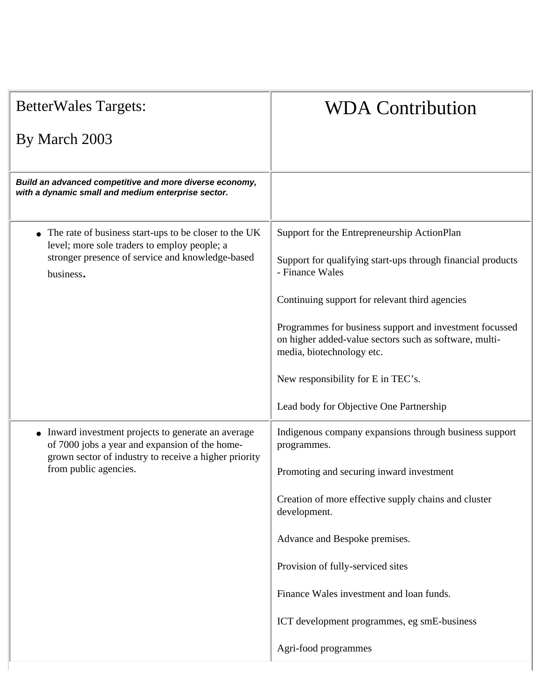| <b>BetterWales Targets:</b>                                                                                                                                                             | <b>WDA Contribution</b>                                                                                                                                                                                                                                                                                                                                                                                                       |
|-----------------------------------------------------------------------------------------------------------------------------------------------------------------------------------------|-------------------------------------------------------------------------------------------------------------------------------------------------------------------------------------------------------------------------------------------------------------------------------------------------------------------------------------------------------------------------------------------------------------------------------|
| By March 2003                                                                                                                                                                           |                                                                                                                                                                                                                                                                                                                                                                                                                               |
| Build an advanced competitive and more diverse economy,<br>with a dynamic small and medium enterprise sector.                                                                           |                                                                                                                                                                                                                                                                                                                                                                                                                               |
| • The rate of business start-ups to be closer to the UK<br>level; more sole traders to employ people; a<br>stronger presence of service and knowledge-based<br>business.                | Support for the Entrepreneurship ActionPlan<br>Support for qualifying start-ups through financial products<br>- Finance Wales<br>Continuing support for relevant third agencies<br>Programmes for business support and investment focussed<br>on higher added-value sectors such as software, multi-<br>media, biotechnology etc.<br>New responsibility for E in TEC's.                                                       |
| • Inward investment projects to generate an average<br>of 7000 jobs a year and expansion of the home-<br>grown sector of industry to receive a higher priority<br>from public agencies. | Lead body for Objective One Partnership<br>Indigenous company expansions through business support<br>programmes.<br>Promoting and securing inward investment<br>Creation of more effective supply chains and cluster<br>development.<br>Advance and Bespoke premises.<br>Provision of fully-serviced sites<br>Finance Wales investment and loan funds.<br>ICT development programmes, eg smE-business<br>Agri-food programmes |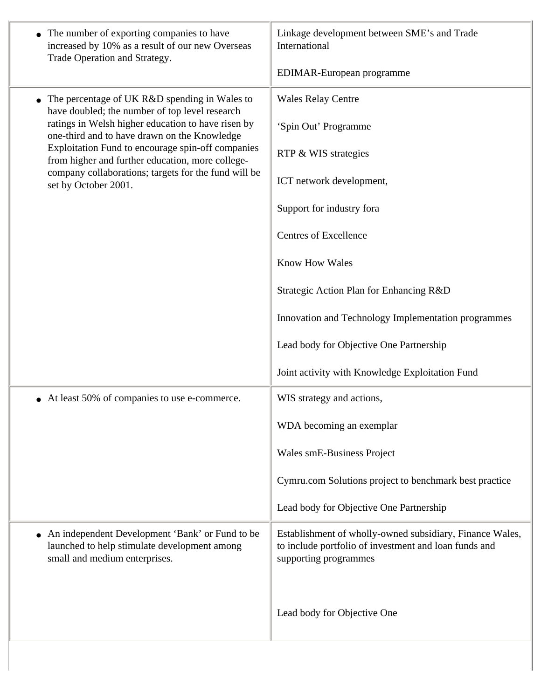| • The number of exporting companies to have<br>increased by 10% as a result of our new Overseas<br>Trade Operation and Strategy.   | Linkage development between SME's and Trade<br>International                                                                               |
|------------------------------------------------------------------------------------------------------------------------------------|--------------------------------------------------------------------------------------------------------------------------------------------|
|                                                                                                                                    | EDIMAR-European programme                                                                                                                  |
| The percentage of UK R&D spending in Wales to<br>have doubled; the number of top level research                                    | <b>Wales Relay Centre</b>                                                                                                                  |
| ratings in Welsh higher education to have risen by<br>one-third and to have drawn on the Knowledge                                 | 'Spin Out' Programme                                                                                                                       |
| Exploitation Fund to encourage spin-off companies<br>from higher and further education, more college-                              | RTP & WIS strategies                                                                                                                       |
| company collaborations; targets for the fund will be<br>set by October 2001.                                                       | ICT network development,                                                                                                                   |
|                                                                                                                                    | Support for industry fora                                                                                                                  |
|                                                                                                                                    | <b>Centres of Excellence</b>                                                                                                               |
|                                                                                                                                    | <b>Know How Wales</b>                                                                                                                      |
|                                                                                                                                    | Strategic Action Plan for Enhancing R&D                                                                                                    |
|                                                                                                                                    | Innovation and Technology Implementation programmes                                                                                        |
|                                                                                                                                    | Lead body for Objective One Partnership                                                                                                    |
|                                                                                                                                    | Joint activity with Knowledge Exploitation Fund                                                                                            |
| • At least 50% of companies to use e-commerce.                                                                                     | WIS strategy and actions,                                                                                                                  |
|                                                                                                                                    | WDA becoming an exemplar                                                                                                                   |
|                                                                                                                                    | Wales smE-Business Project                                                                                                                 |
|                                                                                                                                    | Cymru.com Solutions project to benchmark best practice                                                                                     |
|                                                                                                                                    | Lead body for Objective One Partnership                                                                                                    |
| • An independent Development 'Bank' or Fund to be<br>launched to help stimulate development among<br>small and medium enterprises. | Establishment of wholly-owned subsidiary, Finance Wales,<br>to include portfolio of investment and loan funds and<br>supporting programmes |
|                                                                                                                                    | Lead body for Objective One                                                                                                                |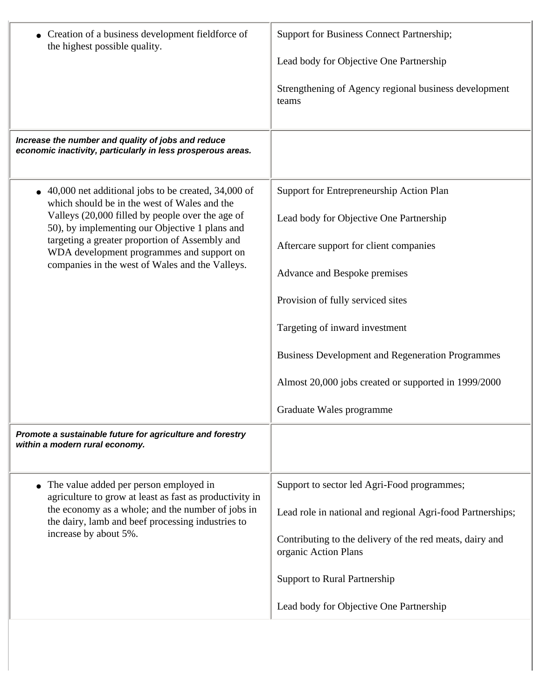| • Creation of a business development fieldforce of<br>the highest possible quality.                                                                                                                                                                                                                                                                         | Support for Business Connect Partnership;<br>Lead body for Objective One Partnership<br>Strengthening of Agency regional business development<br>teams                                                                                                                                                                                                                              |
|-------------------------------------------------------------------------------------------------------------------------------------------------------------------------------------------------------------------------------------------------------------------------------------------------------------------------------------------------------------|-------------------------------------------------------------------------------------------------------------------------------------------------------------------------------------------------------------------------------------------------------------------------------------------------------------------------------------------------------------------------------------|
| Increase the number and quality of jobs and reduce<br>economic inactivity, particularly in less prosperous areas.                                                                                                                                                                                                                                           |                                                                                                                                                                                                                                                                                                                                                                                     |
| 40,000 net additional jobs to be created, 34,000 of<br>which should be in the west of Wales and the<br>Valleys (20,000 filled by people over the age of<br>50), by implementing our Objective 1 plans and<br>targeting a greater proportion of Assembly and<br>WDA development programmes and support on<br>companies in the west of Wales and the Valleys. | Support for Entrepreneurship Action Plan<br>Lead body for Objective One Partnership<br>Aftercare support for client companies<br>Advance and Bespoke premises<br>Provision of fully serviced sites<br>Targeting of inward investment<br><b>Business Development and Regeneration Programmes</b><br>Almost 20,000 jobs created or supported in 1999/2000<br>Graduate Wales programme |
| Promote a sustainable future for agriculture and forestry<br>within a modern rural economy.                                                                                                                                                                                                                                                                 |                                                                                                                                                                                                                                                                                                                                                                                     |
| The value added per person employed in<br>agriculture to grow at least as fast as productivity in<br>the economy as a whole; and the number of jobs in<br>the dairy, lamb and beef processing industries to<br>increase by about 5%.                                                                                                                        | Support to sector led Agri-Food programmes;<br>Lead role in national and regional Agri-food Partnerships;<br>Contributing to the delivery of the red meats, dairy and<br>organic Action Plans<br><b>Support to Rural Partnership</b><br>Lead body for Objective One Partnership                                                                                                     |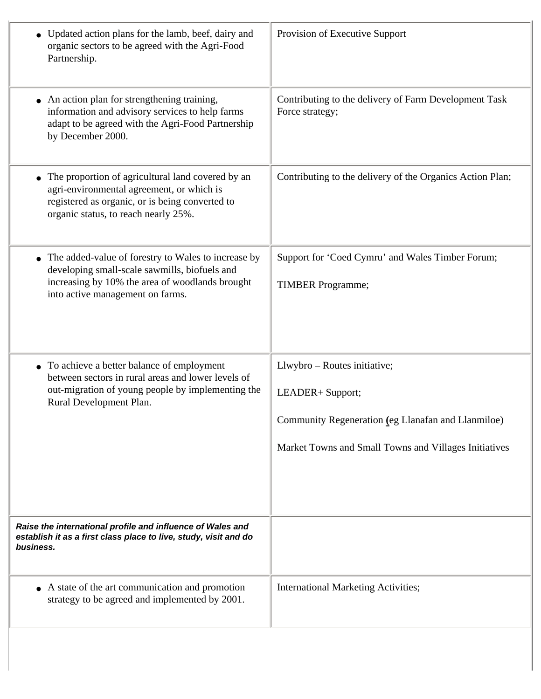| • Updated action plans for the lamb, beef, dairy and<br>organic sectors to be agreed with the Agri-Food<br>Partnership.                                                                     | Provision of Executive Support                                                                                                                                  |
|---------------------------------------------------------------------------------------------------------------------------------------------------------------------------------------------|-----------------------------------------------------------------------------------------------------------------------------------------------------------------|
| • An action plan for strengthening training,<br>information and advisory services to help farms<br>adapt to be agreed with the Agri-Food Partnership<br>by December 2000.                   | Contributing to the delivery of Farm Development Task<br>Force strategy;                                                                                        |
| The proportion of agricultural land covered by an<br>agri-environmental agreement, or which is<br>registered as organic, or is being converted to<br>organic status, to reach nearly 25%.   | Contributing to the delivery of the Organics Action Plan;                                                                                                       |
| The added-value of forestry to Wales to increase by<br>developing small-scale sawmills, biofuels and<br>increasing by 10% the area of woodlands brought<br>into active management on farms. | Support for 'Coed Cymru' and Wales Timber Forum;<br><b>TIMBER</b> Programme;                                                                                    |
| • To achieve a better balance of employment<br>between sectors in rural areas and lower levels of<br>out-migration of young people by implementing the<br>Rural Development Plan.           | Llwybro - Routes initiative;<br>LEADER+ Support;<br>Community Regeneration (eg Llanafan and Llanmiloe)<br>Market Towns and Small Towns and Villages Initiatives |
| Raise the international profile and influence of Wales and<br>establish it as a first class place to live, study, visit and do<br>business.                                                 |                                                                                                                                                                 |
| • A state of the art communication and promotion<br>strategy to be agreed and implemented by 2001.                                                                                          | <b>International Marketing Activities;</b>                                                                                                                      |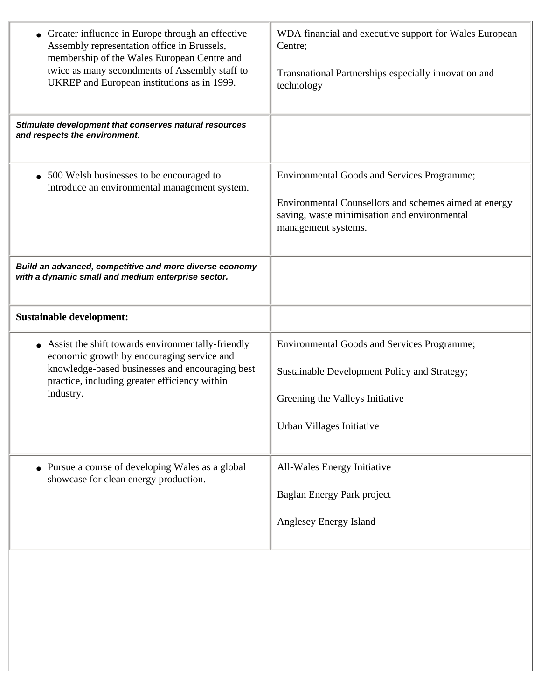| • Greater influence in Europe through an effective<br>Assembly representation office in Brussels,<br>membership of the Wales European Centre and<br>twice as many secondments of Assembly staff to<br>UKREP and European institutions as in 1999. | WDA financial and executive support for Wales European<br>Centre;<br>Transnational Partnerships especially innovation and<br>technology                                            |
|---------------------------------------------------------------------------------------------------------------------------------------------------------------------------------------------------------------------------------------------------|------------------------------------------------------------------------------------------------------------------------------------------------------------------------------------|
| Stimulate development that conserves natural resources<br>and respects the environment.                                                                                                                                                           |                                                                                                                                                                                    |
| • 500 Welsh businesses to be encouraged to<br>introduce an environmental management system.                                                                                                                                                       | <b>Environmental Goods and Services Programme;</b><br>Environmental Counsellors and schemes aimed at energy<br>saving, waste minimisation and environmental<br>management systems. |
| Build an advanced, competitive and more diverse economy<br>with a dynamic small and medium enterprise sector.                                                                                                                                     |                                                                                                                                                                                    |
| <b>Sustainable development:</b>                                                                                                                                                                                                                   |                                                                                                                                                                                    |
| • Assist the shift towards environmentally-friendly<br>economic growth by encouraging service and<br>knowledge-based businesses and encouraging best<br>practice, including greater efficiency within<br>industry.                                | <b>Environmental Goods and Services Programme;</b><br>Sustainable Development Policy and Strategy;<br>Greening the Valleys Initiative<br>Urban Villages Initiative                 |
| • Pursue a course of developing Wales as a global<br>showcase for clean energy production.                                                                                                                                                        | All-Wales Energy Initiative<br>Baglan Energy Park project<br>Anglesey Energy Island                                                                                                |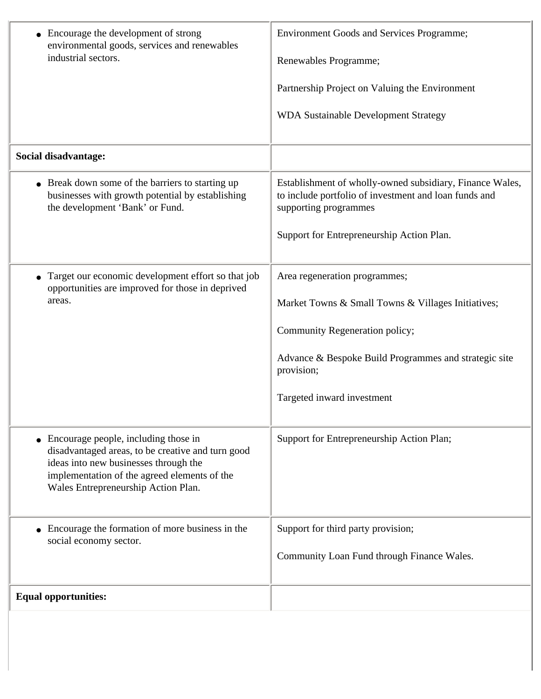| • Encourage the development of strong<br>environmental goods, services and renewables<br>industrial sectors.                                                                                                                | <b>Environment Goods and Services Programme;</b><br>Renewables Programme;<br>Partnership Project on Valuing the Environment<br><b>WDA Sustainable Development Strategy</b>                                                 |
|-----------------------------------------------------------------------------------------------------------------------------------------------------------------------------------------------------------------------------|----------------------------------------------------------------------------------------------------------------------------------------------------------------------------------------------------------------------------|
| Social disadvantage:                                                                                                                                                                                                        |                                                                                                                                                                                                                            |
| • Break down some of the barriers to starting up<br>businesses with growth potential by establishing<br>the development 'Bank' or Fund.                                                                                     | Establishment of wholly-owned subsidiary, Finance Wales,<br>to include portfolio of investment and loan funds and<br>supporting programmes<br>Support for Entrepreneurship Action Plan.                                    |
| Target our economic development effort so that job<br>opportunities are improved for those in deprived<br>areas.                                                                                                            | Area regeneration programmes;<br>Market Towns & Small Towns & Villages Initiatives;<br>Community Regeneration policy;<br>Advance & Bespoke Build Programmes and strategic site<br>provision;<br>Targeted inward investment |
| • Encourage people, including those in<br>disadvantaged areas, to be creative and turn good<br>ideas into new businesses through the<br>implementation of the agreed elements of the<br>Wales Entrepreneurship Action Plan. | Support for Entrepreneurship Action Plan;                                                                                                                                                                                  |
| • Encourage the formation of more business in the<br>social economy sector.                                                                                                                                                 | Support for third party provision;<br>Community Loan Fund through Finance Wales.                                                                                                                                           |
| <b>Equal opportunities:</b>                                                                                                                                                                                                 |                                                                                                                                                                                                                            |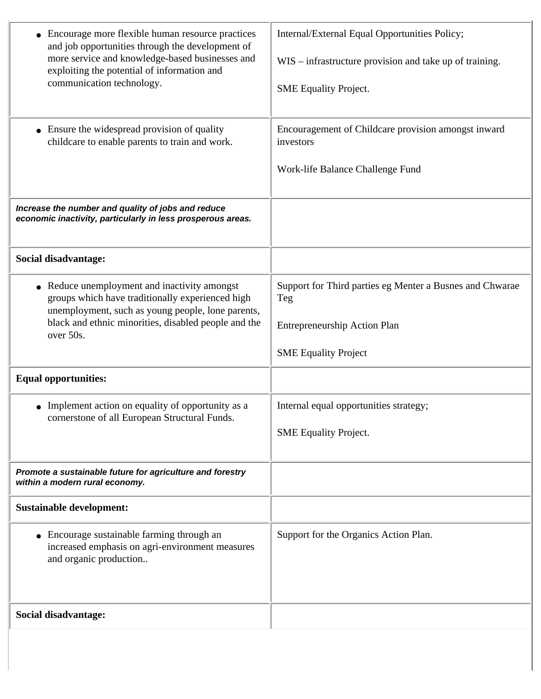| Encourage more flexible human resource practices<br>and job opportunities through the development of<br>more service and knowledge-based businesses and<br>exploiting the potential of information and<br>communication technology.   | Internal/External Equal Opportunities Policy;<br>WIS – infrastructure provision and take up of training.<br><b>SME</b> Equality Project. |
|---------------------------------------------------------------------------------------------------------------------------------------------------------------------------------------------------------------------------------------|------------------------------------------------------------------------------------------------------------------------------------------|
| • Ensure the widespread provision of quality<br>childcare to enable parents to train and work.                                                                                                                                        | Encouragement of Childcare provision amongst inward<br>investors<br>Work-life Balance Challenge Fund                                     |
| Increase the number and quality of jobs and reduce<br>economic inactivity, particularly in less prosperous areas.                                                                                                                     |                                                                                                                                          |
| Social disadvantage:                                                                                                                                                                                                                  |                                                                                                                                          |
| Reduce unemployment and inactivity amongst<br>$\bullet$<br>groups which have traditionally experienced high<br>unemployment, such as young people, lone parents,<br>black and ethnic minorities, disabled people and the<br>over 50s. | Support for Third parties eg Menter a Busnes and Chwarae<br>Teg<br>Entrepreneurship Action Plan<br><b>SME Equality Project</b>           |
| <b>Equal opportunities:</b>                                                                                                                                                                                                           |                                                                                                                                          |
| Implement action on equality of opportunity as a<br>cornerstone of all European Structural Funds.                                                                                                                                     | Internal equal opportunities strategy;<br><b>SME Equality Project.</b>                                                                   |
| Promote a sustainable future for agriculture and forestry<br>within a modern rural economy.                                                                                                                                           |                                                                                                                                          |
| <b>Sustainable development:</b>                                                                                                                                                                                                       |                                                                                                                                          |
| • Encourage sustainable farming through an<br>increased emphasis on agri-environment measures<br>and organic production                                                                                                               | Support for the Organics Action Plan.                                                                                                    |
| Social disadvantage:                                                                                                                                                                                                                  |                                                                                                                                          |
|                                                                                                                                                                                                                                       |                                                                                                                                          |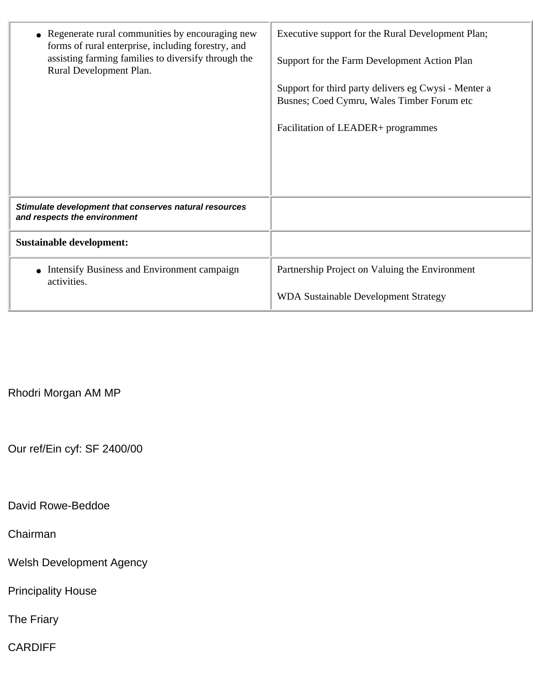| Regenerate rural communities by encouraging new<br>forms of rural enterprise, including forestry, and<br>assisting farming families to diversify through the<br>Rural Development Plan. | Executive support for the Rural Development Plan;<br>Support for the Farm Development Action Plan<br>Support for third party delivers eg Cwysi - Menter a<br>Busnes; Coed Cymru, Wales Timber Forum etc<br>Facilitation of LEADER+ programmes |
|-----------------------------------------------------------------------------------------------------------------------------------------------------------------------------------------|-----------------------------------------------------------------------------------------------------------------------------------------------------------------------------------------------------------------------------------------------|
| Stimulate development that conserves natural resources<br>and respects the environment                                                                                                  |                                                                                                                                                                                                                                               |
| <b>Sustainable development:</b>                                                                                                                                                         |                                                                                                                                                                                                                                               |
| Intensify Business and Environment campaign<br>activities.                                                                                                                              | Partnership Project on Valuing the Environment                                                                                                                                                                                                |
|                                                                                                                                                                                         | <b>WDA Sustainable Development Strategy</b>                                                                                                                                                                                                   |

Rhodri Morgan AM MP

Our ref/Ein cyf: SF 2400/00

David Rowe-Beddoe

Chairman

Welsh Development Agency

Principality House

The Friary

CARDIFF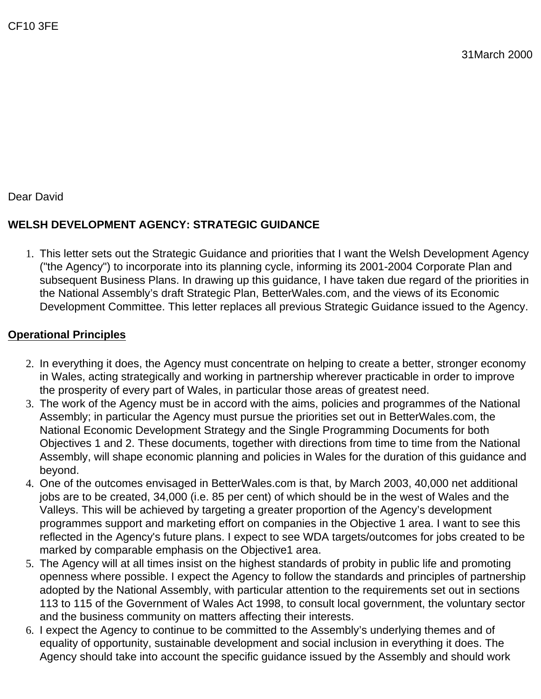Dear David

# **WELSH DEVELOPMENT AGENCY: STRATEGIC GUIDANCE**

1. This letter sets out the Strategic Guidance and priorities that I want the Welsh Development Agency ("the Agency") to incorporate into its planning cycle, informing its 2001-2004 Corporate Plan and subsequent Business Plans. In drawing up this guidance, I have taken due regard of the priorities in the National Assembly's draft Strategic Plan, BetterWales.com, and the views of its Economic Development Committee. This letter replaces all previous Strategic Guidance issued to the Agency.

#### **Operational Principles**

- 2. In everything it does, the Agency must concentrate on helping to create a better, stronger economy in Wales, acting strategically and working in partnership wherever practicable in order to improve the prosperity of every part of Wales, in particular those areas of greatest need.
- 3. The work of the Agency must be in accord with the aims, policies and programmes of the National Assembly; in particular the Agency must pursue the priorities set out in BetterWales.com, the National Economic Development Strategy and the Single Programming Documents for both Objectives 1 and 2. These documents, together with directions from time to time from the National Assembly, will shape economic planning and policies in Wales for the duration of this guidance and beyond.
- 4. One of the outcomes envisaged in BetterWales.com is that, by March 2003, 40,000 net additional jobs are to be created, 34,000 (i.e. 85 per cent) of which should be in the west of Wales and the Valleys. This will be achieved by targeting a greater proportion of the Agency's development programmes support and marketing effort on companies in the Objective 1 area. I want to see this reflected in the Agency's future plans. I expect to see WDA targets/outcomes for jobs created to be marked by comparable emphasis on the Objective1 area.
- 5. The Agency will at all times insist on the highest standards of probity in public life and promoting openness where possible. I expect the Agency to follow the standards and principles of partnership adopted by the National Assembly, with particular attention to the requirements set out in sections 113 to 115 of the Government of Wales Act 1998, to consult local government, the voluntary sector and the business community on matters affecting their interests.
- 6. I expect the Agency to continue to be committed to the Assembly's underlying themes and of equality of opportunity, sustainable development and social inclusion in everything it does. The Agency should take into account the specific guidance issued by the Assembly and should work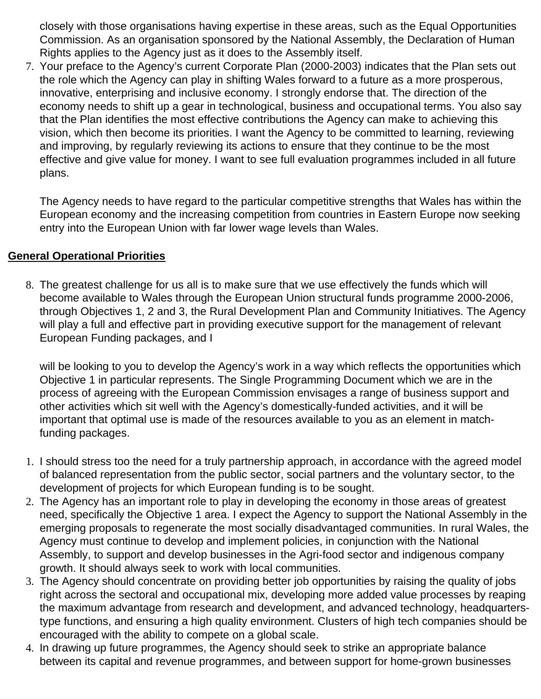closely with those organisations having expertise in these areas, such as the Equal Opportunities Commission. As an organisation sponsored by the National Assembly, the Declaration of Human Rights applies to the Agency just as it does to the Assembly itself.

7. Your preface to the Agency's current Corporate Plan (2000-2003) indicates that the Plan sets out the role which the Agency can play in shifting Wales forward to a future as a more prosperous, innovative, enterprising and inclusive economy. I strongly endorse that. The direction of the economy needs to shift up a gear in technological, business and occupational terms. You also say that the Plan identifies the most effective contributions the Agency can make to achieving this vision, which then become its priorities. I want the Agency to be committed to learning, reviewing and improving, by regularly reviewing its actions to ensure that they continue to be the most effective and give value for money. I want to see full evaluation programmes included in all future plans.

The Agency needs to have regard to the particular competitive strengths that Wales has within the European economy and the increasing competition from countries in Eastern Europe now seeking entry into the European Union with far lower wage levels than Wales.

#### **General Operational Priorities**

8. The greatest challenge for us all is to make sure that we use effectively the funds which will become available to Wales through the European Union structural funds programme 2000-2006, through Objectives 1, 2 and 3, the Rural Development Plan and Community Initiatives. The Agency will play a full and effective part in providing executive support for the management of relevant European Funding packages, and I

will be looking to you to develop the Agency's work in a way which reflects the opportunities which Objective 1 in particular represents. The Single Programming Document which we are in the process of agreeing with the European Commission envisages a range of business support and other activities which sit well with the Agency's domestically-funded activities, and it will be important that optimal use is made of the resources available to you as an element in matchfunding packages.

- 1. I should stress too the need for a truly partnership approach, in accordance with the agreed model of balanced representation from the public sector, social partners and the voluntary sector, to the development of projects for which European funding is to be sought.
- 2. The Agency has an important role to play in developing the economy in those areas of greatest need, specifically the Objective 1 area. I expect the Agency to support the National Assembly in the emerging proposals to regenerate the most socially disadvantaged communities. In rural Wales, the Agency must continue to develop and implement policies, in conjunction with the National Assembly, to support and develop businesses in the Agri-food sector and indigenous company growth. It should always seek to work with local communities.
- 3. The Agency should concentrate on providing better job opportunities by raising the quality of jobs right across the sectoral and occupational mix, developing more added value processes by reaping the maximum advantage from research and development, and advanced technology, headquarterstype functions, and ensuring a high quality environment. Clusters of high tech companies should be encouraged with the ability to compete on a global scale.
- 4. In drawing up future programmes, the Agency should seek to strike an appropriate balance between its capital and revenue programmes, and between support for home-grown businesses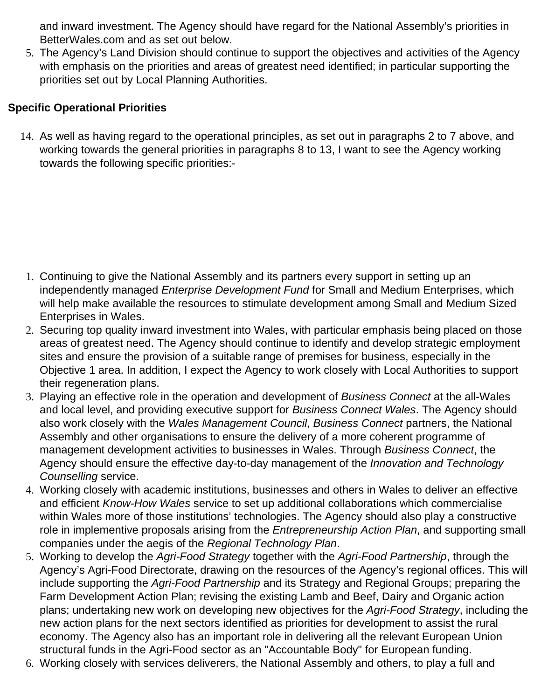and inward investment. The Agency should have regard for the National Assembly's priorities in BetterWales.com and as set out below.

5. The Agency's Land Division should continue to support the objectives and activities of the Agency with emphasis on the priorities and areas of greatest need identified; in particular supporting the priorities set out by Local Planning Authorities.

#### **Specific Operational Priorities**

14. As well as having regard to the operational principles, as set out in paragraphs 2 to 7 above, and working towards the general priorities in paragraphs 8 to 13, I want to see the Agency working towards the following specific priorities:-

- 1. Continuing to give the National Assembly and its partners every support in setting up an independently managed *Enterprise Development Fund* for Small and Medium Enterprises, which will help make available the resources to stimulate development among Small and Medium Sized Enterprises in Wales.
- 2. Securing top quality inward investment into Wales, with particular emphasis being placed on those areas of greatest need. The Agency should continue to identify and develop strategic employment sites and ensure the provision of a suitable range of premises for business, especially in the Objective 1 area. In addition, I expect the Agency to work closely with Local Authorities to support their regeneration plans.
- 3. Playing an effective role in the operation and development of *Business Connect* at the all-Wales and local level, and providing executive support for *Business Connect Wales*. The Agency should also work closely with the *Wales Management Council*, *Business Connect* partners, the National Assembly and other organisations to ensure the delivery of a more coherent programme of management development activities to businesses in Wales. Through *Business Connect*, the Agency should ensure the effective day-to-day management of the *Innovation and Technology Counselling* service.
- 4. Working closely with academic institutions, businesses and others in Wales to deliver an effective and efficient *Know-How Wales* service to set up additional collaborations which commercialise within Wales more of those institutions' technologies. The Agency should also play a constructive role in implementive proposals arising from the *Entrepreneurship Action Plan*, and supporting small companies under the aegis of the *Regional Technology Plan*.
- 5. Working to develop the *Agri-Food Strategy* together with the *Agri-Food Partnership*, through the Agency's Agri-Food Directorate, drawing on the resources of the Agency's regional offices. This will include supporting the *Agri-Food Partnership* and its Strategy and Regional Groups; preparing the Farm Development Action Plan; revising the existing Lamb and Beef, Dairy and Organic action plans; undertaking new work on developing new objectives for the *Agri-Food Strategy*, including the new action plans for the next sectors identified as priorities for development to assist the rural economy. The Agency also has an important role in delivering all the relevant European Union structural funds in the Agri-Food sector as an "Accountable Body" for European funding.
- 6. Working closely with services deliverers, the National Assembly and others, to play a full and